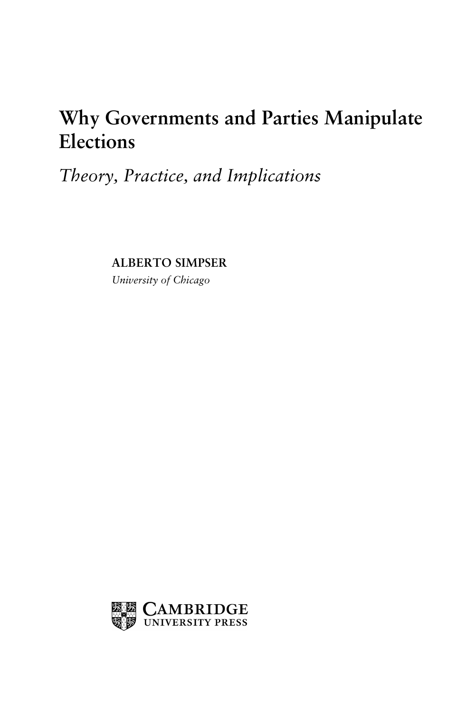# **Why Governments and Parties Manipulate Elections**

*Theory, Practice, and Implications*

**ALBERTO SIMPSER** *University of Chicago*

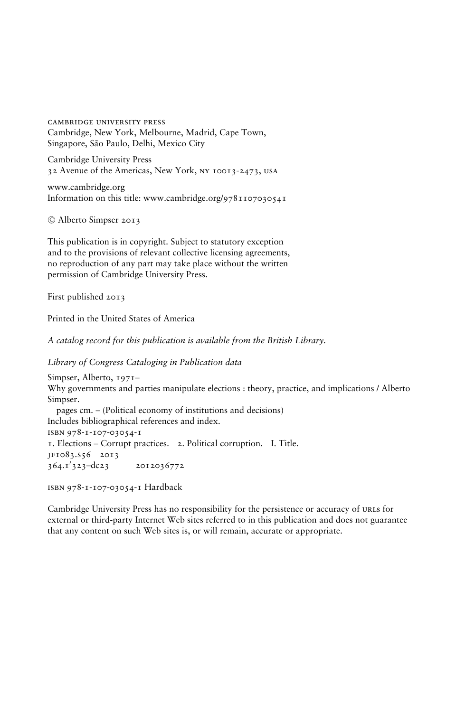cambridge university press Cambridge, New York, Melbourne, Madrid, Cape Town, Singapore, São Paulo, Delhi, Mexico City

Cambridge University Press 32 Avenue of the Americas, New York, ny 10013-2473, usa

www.cambridge.org Information on this title: www.cambridge.org/9781107030541

-<sup>C</sup> Alberto Simpser 2013

This publication is in copyright. Subject to statutory exception and to the provisions of relevant collective licensing agreements, no reproduction of any part may take place without the written permission of Cambridge University Press.

First published 2013

Printed in the United States of America

*A catalog record for this publication is available from the British Library.*

*Library of Congress Cataloging in Publication data*

```
Simpser, Alberto, 1971–
Why governments and parties manipulate elections : theory, practice, and implications / Alberto
Simpser.
  pages cm. – (Political economy of institutions and decisions)
Includes bibliographical references and index.
isbn 978-1-107-03054-1
1. Elections – Corrupt practices. 2. Political corruption. I. Title.
jf1083.s56 2013
364.1'323-dc23
                      2012036772
```
isbn 978-1-107-03054-1 Hardback

Cambridge University Press has no responsibility for the persistence or accuracy of urls for external or third-party Internet Web sites referred to in this publication and does not guarantee that any content on such Web sites is, or will remain, accurate or appropriate.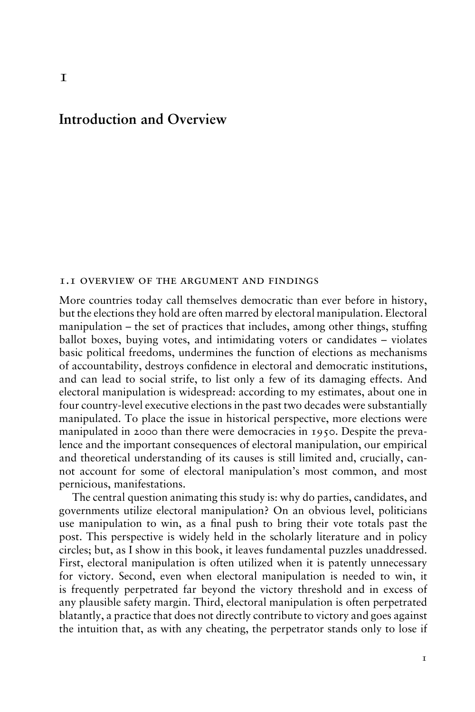# **Introduction and Overview**

#### 1.1 overview of the argument and findings

More countries today call themselves democratic than ever before in history, but the elections they hold are often marred by electoral manipulation. Electoral manipulation – the set of practices that includes, among other things, stuffing ballot boxes, buying votes, and intimidating voters or candidates – violates basic political freedoms, undermines the function of elections as mechanisms of accountability, destroys confidence in electoral and democratic institutions, and can lead to social strife, to list only a few of its damaging effects. And electoral manipulation is widespread: according to my estimates, about one in four country-level executive elections in the past two decades were substantially manipulated. To place the issue in historical perspective, more elections were manipulated in 2000 than there were democracies in 1950. Despite the prevalence and the important consequences of electoral manipulation, our empirical and theoretical understanding of its causes is still limited and, crucially, cannot account for some of electoral manipulation's most common, and most pernicious, manifestations.

The central question animating this study is: why do parties, candidates, and governments utilize electoral manipulation? On an obvious level, politicians use manipulation to win, as a final push to bring their vote totals past the post. This perspective is widely held in the scholarly literature and in policy circles; but, as I show in this book, it leaves fundamental puzzles unaddressed. First, electoral manipulation is often utilized when it is patently unnecessary for victory. Second, even when electoral manipulation is needed to win, it is frequently perpetrated far beyond the victory threshold and in excess of any plausible safety margin. Third, electoral manipulation is often perpetrated blatantly, a practice that does not directly contribute to victory and goes against the intuition that, as with any cheating, the perpetrator stands only to lose if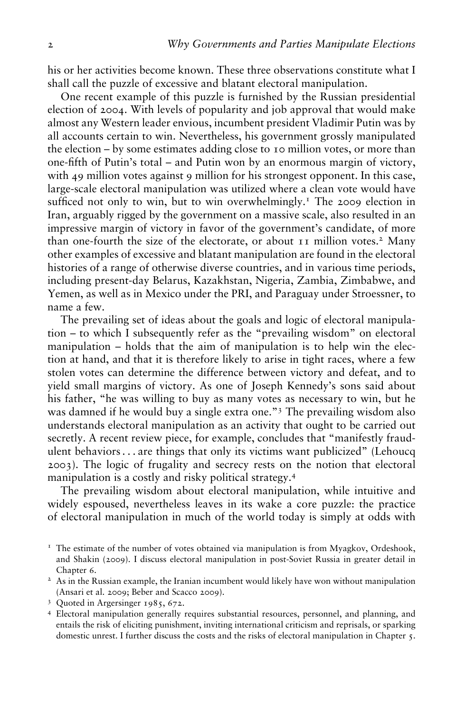his or her activities become known. These three observations constitute what I shall call the puzzle of excessive and blatant electoral manipulation.

One recent example of this puzzle is furnished by the Russian presidential election of 2004. With levels of popularity and job approval that would make almost any Western leader envious, incumbent president Vladimir Putin was by all accounts certain to win. Nevertheless, his government grossly manipulated the election – by some estimates adding close to 10 million votes, or more than one-fifth of Putin's total – and Putin won by an enormous margin of victory, with 49 million votes against 9 million for his strongest opponent. In this case, large-scale electoral manipulation was utilized where a clean vote would have sufficed not only to win, but to win overwhelmingly.<sup>1</sup> The 2009 election in Iran, arguably rigged by the government on a massive scale, also resulted in an impressive margin of victory in favor of the government's candidate, of more than one-fourth the size of the electorate, or about  $I$ I million votes.<sup>2</sup> Many other examples of excessive and blatant manipulation are found in the electoral histories of a range of otherwise diverse countries, and in various time periods, including present-day Belarus, Kazakhstan, Nigeria, Zambia, Zimbabwe, and Yemen, as well as in Mexico under the PRI, and Paraguay under Stroessner, to name a few.

The prevailing set of ideas about the goals and logic of electoral manipulation – to which I subsequently refer as the "prevailing wisdom" on electoral manipulation – holds that the aim of manipulation is to help win the election at hand, and that it is therefore likely to arise in tight races, where a few stolen votes can determine the difference between victory and defeat, and to yield small margins of victory. As one of Joseph Kennedy's sons said about his father, "he was willing to buy as many votes as necessary to win, but he was damned if he would buy a single extra one."<sup>3</sup> The prevailing wisdom also understands electoral manipulation as an activity that ought to be carried out secretly. A recent review piece, for example, concludes that "manifestly fraudulent behaviors. . . are things that only its victims want publicized" (Lehoucq 2003). The logic of frugality and secrecy rests on the notion that electoral manipulation is a costly and risky political strategy.<sup>4</sup>

The prevailing wisdom about electoral manipulation, while intuitive and widely espoused, nevertheless leaves in its wake a core puzzle: the practice of electoral manipulation in much of the world today is simply at odds with

 $1$  The estimate of the number of votes obtained via manipulation is from Myagkov, Ordeshook, and Shakin (2009). I discuss electoral manipulation in post-Soviet Russia in greater detail in Chapter 6.

<sup>&</sup>lt;sup>2</sup> As in the Russian example, the Iranian incumbent would likely have won without manipulation (Ansari et al. 2009; Beber and Scacco 2009).

<sup>3</sup> Quoted in Argersinger 1985, 672.

<sup>4</sup> Electoral manipulation generally requires substantial resources, personnel, and planning, and entails the risk of eliciting punishment, inviting international criticism and reprisals, or sparking domestic unrest. I further discuss the costs and the risks of electoral manipulation in Chapter 5.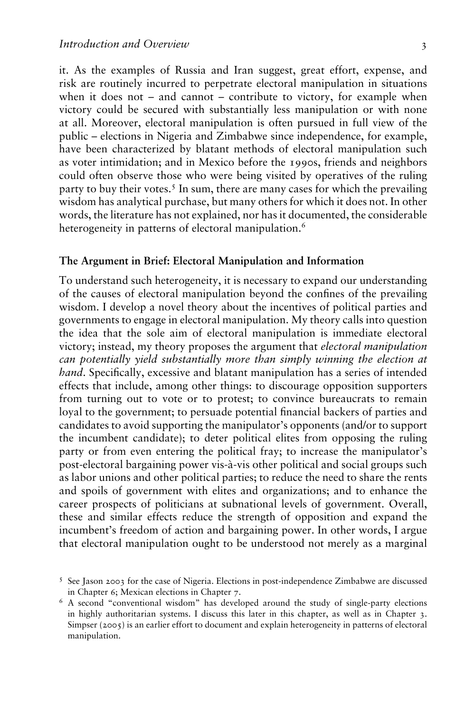it. As the examples of Russia and Iran suggest, great effort, expense, and risk are routinely incurred to perpetrate electoral manipulation in situations when it does not – and cannot – contribute to victory, for example when victory could be secured with substantially less manipulation or with none at all. Moreover, electoral manipulation is often pursued in full view of the public – elections in Nigeria and Zimbabwe since independence, for example, have been characterized by blatant methods of electoral manipulation such as voter intimidation; and in Mexico before the 1990s, friends and neighbors could often observe those who were being visited by operatives of the ruling party to buy their votes.<sup>5</sup> In sum, there are many cases for which the prevailing wisdom has analytical purchase, but many others for which it does not. In other words, the literature has not explained, nor has it documented, the considerable heterogeneity in patterns of electoral manipulation.<sup>6</sup>

#### **The Argument in Brief: Electoral Manipulation and Information**

To understand such heterogeneity, it is necessary to expand our understanding of the causes of electoral manipulation beyond the confines of the prevailing wisdom. I develop a novel theory about the incentives of political parties and governments to engage in electoral manipulation. My theory calls into question the idea that the sole aim of electoral manipulation is immediate electoral victory; instead, my theory proposes the argument that *electoral manipulation can potentially yield substantially more than simply winning the election at hand*. Specifically, excessive and blatant manipulation has a series of intended effects that include, among other things: to discourage opposition supporters from turning out to vote or to protest; to convince bureaucrats to remain loyal to the government; to persuade potential financial backers of parties and candidates to avoid supporting the manipulator's opponents (and/or to support the incumbent candidate); to deter political elites from opposing the ruling party or from even entering the political fray; to increase the manipulator's post-electoral bargaining power vis-a-vis other political and social groups such ` as labor unions and other political parties; to reduce the need to share the rents and spoils of government with elites and organizations; and to enhance the career prospects of politicians at subnational levels of government. Overall, these and similar effects reduce the strength of opposition and expand the incumbent's freedom of action and bargaining power. In other words, I argue that electoral manipulation ought to be understood not merely as a marginal

<sup>5</sup> See Jason 2003 for the case of Nigeria. Elections in post-independence Zimbabwe are discussed in Chapter 6; Mexican elections in Chapter 7.

<sup>6</sup> A second "conventional wisdom" has developed around the study of single-party elections in highly authoritarian systems. I discuss this later in this chapter, as well as in Chapter 3. Simpser  $(2005)$  is an earlier effort to document and explain heterogeneity in patterns of electoral manipulation.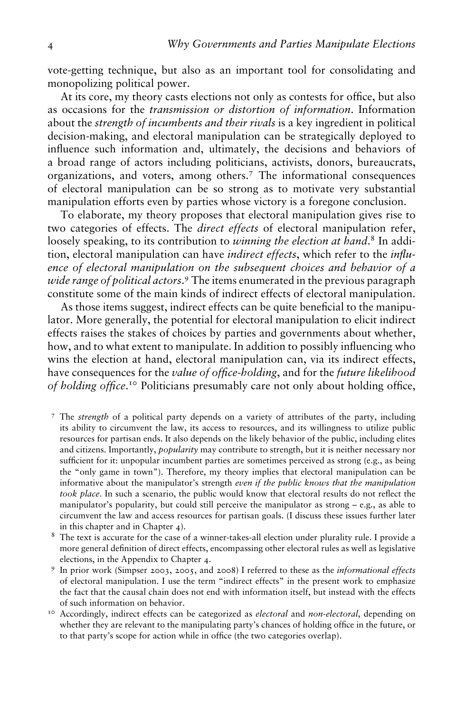vote-getting technique, but also as an important tool for consolidating and monopolizing political power.

At its core, my theory casts elections not only as contests for office, but also as occasions for the *transmission or distortion of information*. Information about the *strength of incumbents and their rivals* is a key ingredient in political decision-making, and electoral manipulation can be strategically deployed to influence such information and, ultimately, the decisions and behaviors of a broad range of actors including politicians, activists, donors, bureaucrats, organizations, and voters, among others.<sup>7</sup> The informational consequences of electoral manipulation can be so strong as to motivate very substantial manipulation efforts even by parties whose victory is a foregone conclusion.

To elaborate, my theory proposes that electoral manipulation gives rise to two categories of effects. The *direct effects* of electoral manipulation refer, loosely speaking, to its contribution to *winning the election at hand*. <sup>8</sup> In addition, electoral manipulation can have *indirect effects*, which refer to the *influence of electoral manipulation on the subsequent choices and behavior of a wide range of political actors*. <sup>9</sup> The items enumerated in the previous paragraph constitute some of the main kinds of indirect effects of electoral manipulation.

As those items suggest, indirect effects can be quite beneficial to the manipulator. More generally, the potential for electoral manipulation to elicit indirect effects raises the stakes of choices by parties and governments about whether, how, and to what extent to manipulate. In addition to possibly influencing who wins the election at hand, electoral manipulation can, via its indirect effects, have consequences for the *value of office-holding*, and for the *future likelihood of holding office*. <sup>10</sup> Politicians presumably care not only about holding office,

- <sup>7</sup> The *strength* of a political party depends on a variety of attributes of the party, including its ability to circumvent the law, its access to resources, and its willingness to utilize public resources for partisan ends. It also depends on the likely behavior of the public, including elites and citizens. Importantly, *popularity* may contribute to strength, but it is neither necessary nor sufficient for it: unpopular incumbent parties are sometimes perceived as strong (e.g., as being the "only game in town"). Therefore, my theory implies that electoral manipulation can be informative about the manipulator's strength *even if the public knows that the manipulation took place*. In such a scenario, the public would know that electoral results do not reflect the manipulator's popularity, but could still perceive the manipulator as strong – e.g., as able to circumvent the law and access resources for partisan goals. (I discuss these issues further later in this chapter and in Chapter 4).
- <sup>8</sup> The text is accurate for the case of a winner-takes-all election under plurality rule. I provide a more general definition of direct effects, encompassing other electoral rules as well as legislative elections, in the Appendix to Chapter 4.
- <sup>9</sup> In prior work (Simpser 2003, 2005, and 2008) I referred to these as the *informational effects* of electoral manipulation. I use the term "indirect effects" in the present work to emphasize the fact that the causal chain does not end with information itself, but instead with the effects of such information on behavior.
- <sup>10</sup> Accordingly, indirect effects can be categorized as *electoral* and *non-electoral*, depending on whether they are relevant to the manipulating party's chances of holding office in the future, or to that party's scope for action while in office (the two categories overlap).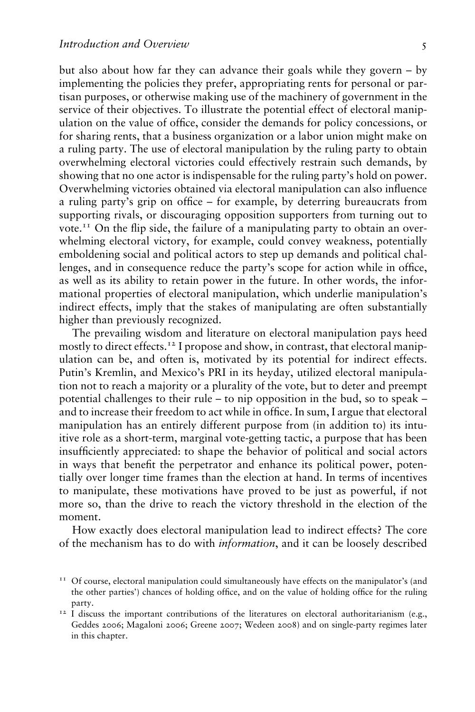but also about how far they can advance their goals while they govern – by implementing the policies they prefer, appropriating rents for personal or partisan purposes, or otherwise making use of the machinery of government in the service of their objectives. To illustrate the potential effect of electoral manipulation on the value of office, consider the demands for policy concessions, or for sharing rents, that a business organization or a labor union might make on a ruling party. The use of electoral manipulation by the ruling party to obtain overwhelming electoral victories could effectively restrain such demands, by showing that no one actor is indispensable for the ruling party's hold on power. Overwhelming victories obtained via electoral manipulation can also influence a ruling party's grip on office – for example, by deterring bureaucrats from supporting rivals, or discouraging opposition supporters from turning out to vote.<sup>11</sup> On the flip side, the failure of a manipulating party to obtain an overwhelming electoral victory, for example, could convey weakness, potentially emboldening social and political actors to step up demands and political challenges, and in consequence reduce the party's scope for action while in office, as well as its ability to retain power in the future. In other words, the informational properties of electoral manipulation, which underlie manipulation's indirect effects, imply that the stakes of manipulating are often substantially higher than previously recognized.

The prevailing wisdom and literature on electoral manipulation pays heed mostly to direct effects.<sup>12</sup> I propose and show, in contrast, that electoral manipulation can be, and often is, motivated by its potential for indirect effects. Putin's Kremlin, and Mexico's PRI in its heyday, utilized electoral manipulation not to reach a majority or a plurality of the vote, but to deter and preempt potential challenges to their rule – to nip opposition in the bud, so to speak – and to increase their freedom to act while in office. In sum, I argue that electoral manipulation has an entirely different purpose from (in addition to) its intuitive role as a short-term, marginal vote-getting tactic, a purpose that has been insufficiently appreciated: to shape the behavior of political and social actors in ways that benefit the perpetrator and enhance its political power, potentially over longer time frames than the election at hand. In terms of incentives to manipulate, these motivations have proved to be just as powerful, if not more so, than the drive to reach the victory threshold in the election of the moment.

How exactly does electoral manipulation lead to indirect effects? The core of the mechanism has to do with *information*, and it can be loosely described

 $11$  Of course, electoral manipulation could simultaneously have effects on the manipulator's (and the other parties') chances of holding office, and on the value of holding office for the ruling party.

<sup>&</sup>lt;sup>12</sup> I discuss the important contributions of the literatures on electoral authoritarianism (e.g., Geddes 2006; Magaloni 2006; Greene 2007; Wedeen 2008) and on single-party regimes later in this chapter.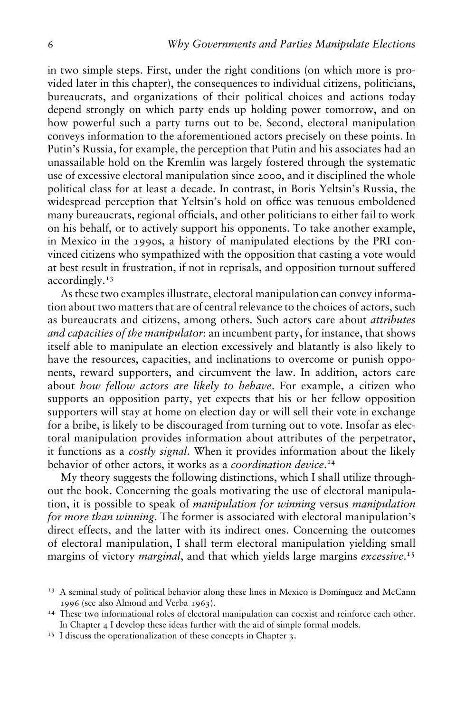in two simple steps. First, under the right conditions (on which more is provided later in this chapter), the consequences to individual citizens, politicians, bureaucrats, and organizations of their political choices and actions today depend strongly on which party ends up holding power tomorrow, and on how powerful such a party turns out to be. Second, electoral manipulation conveys information to the aforementioned actors precisely on these points. In Putin's Russia, for example, the perception that Putin and his associates had an unassailable hold on the Kremlin was largely fostered through the systematic use of excessive electoral manipulation since 2000, and it disciplined the whole political class for at least a decade. In contrast, in Boris Yeltsin's Russia, the widespread perception that Yeltsin's hold on office was tenuous emboldened many bureaucrats, regional officials, and other politicians to either fail to work on his behalf, or to actively support his opponents. To take another example, in Mexico in the 1990s, a history of manipulated elections by the PRI convinced citizens who sympathized with the opposition that casting a vote would at best result in frustration, if not in reprisals, and opposition turnout suffered accordingly.<sup>13</sup>

As these two examples illustrate, electoral manipulation can convey information about two matters that are of central relevance to the choices of actors, such as bureaucrats and citizens, among others. Such actors care about *attributes and capacities of the manipulator*: an incumbent party, for instance, that shows itself able to manipulate an election excessively and blatantly is also likely to have the resources, capacities, and inclinations to overcome or punish opponents, reward supporters, and circumvent the law. In addition, actors care about *how fellow actors are likely to behave*. For example, a citizen who supports an opposition party, yet expects that his or her fellow opposition supporters will stay at home on election day or will sell their vote in exchange for a bribe, is likely to be discouraged from turning out to vote. Insofar as electoral manipulation provides information about attributes of the perpetrator, it functions as a *costly signal*. When it provides information about the likely behavior of other actors, it works as a *coordination device*. 14

My theory suggests the following distinctions, which I shall utilize throughout the book. Concerning the goals motivating the use of electoral manipulation, it is possible to speak of *manipulation for winning* versus *manipulation for more than winning*. The former is associated with electoral manipulation's direct effects, and the latter with its indirect ones. Concerning the outcomes of electoral manipulation, I shall term electoral manipulation yielding small margins of victory *marginal*, and that which yields large margins *excessive*. 15

 $13$  A seminal study of political behavior along these lines in Mexico is Domínguez and McCann 1996 (see also Almond and Verba 1963).

<sup>&</sup>lt;sup>14</sup> These two informational roles of electoral manipulation can coexist and reinforce each other. In Chapter 4 I develop these ideas further with the aid of simple formal models.

<sup>&</sup>lt;sup>15</sup> I discuss the operationalization of these concepts in Chapter 3.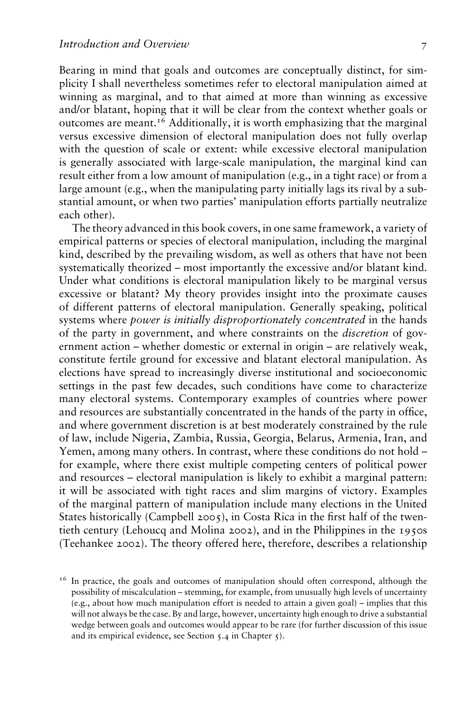Bearing in mind that goals and outcomes are conceptually distinct, for simplicity I shall nevertheless sometimes refer to electoral manipulation aimed at winning as marginal, and to that aimed at more than winning as excessive and/or blatant, hoping that it will be clear from the context whether goals or outcomes are meant.<sup>16</sup> Additionally, it is worth emphasizing that the marginal versus excessive dimension of electoral manipulation does not fully overlap with the question of scale or extent: while excessive electoral manipulation is generally associated with large-scale manipulation, the marginal kind can result either from a low amount of manipulation (e.g., in a tight race) or from a large amount (e.g., when the manipulating party initially lags its rival by a substantial amount, or when two parties' manipulation efforts partially neutralize each other).

The theory advanced in this book covers, in one same framework, a variety of empirical patterns or species of electoral manipulation, including the marginal kind, described by the prevailing wisdom, as well as others that have not been systematically theorized – most importantly the excessive and/or blatant kind. Under what conditions is electoral manipulation likely to be marginal versus excessive or blatant? My theory provides insight into the proximate causes of different patterns of electoral manipulation. Generally speaking, political systems where *power is initially disproportionately concentrated* in the hands of the party in government, and where constraints on the *discretion* of government action – whether domestic or external in origin – are relatively weak, constitute fertile ground for excessive and blatant electoral manipulation. As elections have spread to increasingly diverse institutional and socioeconomic settings in the past few decades, such conditions have come to characterize many electoral systems. Contemporary examples of countries where power and resources are substantially concentrated in the hands of the party in office, and where government discretion is at best moderately constrained by the rule of law, include Nigeria, Zambia, Russia, Georgia, Belarus, Armenia, Iran, and Yemen, among many others. In contrast, where these conditions do not hold – for example, where there exist multiple competing centers of political power and resources – electoral manipulation is likely to exhibit a marginal pattern: it will be associated with tight races and slim margins of victory. Examples of the marginal pattern of manipulation include many elections in the United States historically (Campbell 2005), in Costa Rica in the first half of the twentieth century (Lehoucq and Molina 2002), and in the Philippines in the 1950s (Teehankee 2002). The theory offered here, therefore, describes a relationship

 $16$  In practice, the goals and outcomes of manipulation should often correspond, although the possibility of miscalculation – stemming, for example, from unusually high levels of uncertainty (e.g., about how much manipulation effort is needed to attain a given goal) – implies that this will not always be the case. By and large, however, uncertainty high enough to drive a substantial wedge between goals and outcomes would appear to be rare (for further discussion of this issue and its empirical evidence, see Section 5.4 in Chapter 5).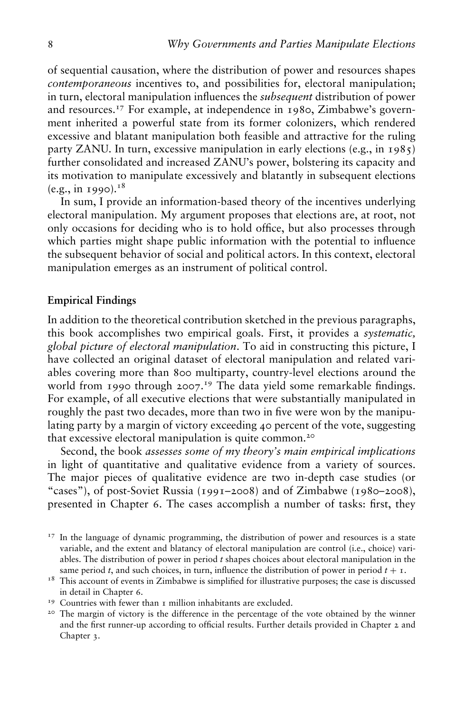of sequential causation, where the distribution of power and resources shapes *contemporaneous* incentives to, and possibilities for, electoral manipulation; in turn, electoral manipulation influences the *subsequent* distribution of power and resources.<sup>17</sup> For example, at independence in 1980, Zimbabwe's government inherited a powerful state from its former colonizers, which rendered excessive and blatant manipulation both feasible and attractive for the ruling party ZANU. In turn, excessive manipulation in early elections (e.g., in 1985) further consolidated and increased ZANU's power, bolstering its capacity and its motivation to manipulate excessively and blatantly in subsequent elections  $(e.g., in I990).$ <sup>18</sup>

In sum, I provide an information-based theory of the incentives underlying electoral manipulation. My argument proposes that elections are, at root, not only occasions for deciding who is to hold office, but also processes through which parties might shape public information with the potential to influence the subsequent behavior of social and political actors. In this context, electoral manipulation emerges as an instrument of political control.

#### **Empirical Findings**

In addition to the theoretical contribution sketched in the previous paragraphs, this book accomplishes two empirical goals. First, it provides a *systematic, global picture of electoral manipulation*. To aid in constructing this picture, I have collected an original dataset of electoral manipulation and related variables covering more than 800 multiparty, country-level elections around the world from 1990 through 2007.<sup>19</sup> The data yield some remarkable findings. For example, of all executive elections that were substantially manipulated in roughly the past two decades, more than two in five were won by the manipulating party by a margin of victory exceeding 40 percent of the vote, suggesting that excessive electoral manipulation is quite common.<sup>20</sup>

Second, the book *assesses some of my theory's main empirical implications* in light of quantitative and qualitative evidence from a variety of sources. The major pieces of qualitative evidence are two in-depth case studies (or "cases"), of post-Soviet Russia (1991–2008) and of Zimbabwe (1980–2008), presented in Chapter 6. The cases accomplish a number of tasks: first, they

<sup>&</sup>lt;sup>17</sup> In the language of dynamic programming, the distribution of power and resources is a state variable, and the extent and blatancy of electoral manipulation are control (i.e., choice) variables. The distribution of power in period *t* shapes choices about electoral manipulation in the same period *t*, and such choices, in turn, influence the distribution of power in period  $t + 1$ .

 $18$  This account of events in Zimbabwe is simplified for illustrative purposes; the case is discussed in detail in Chapter 6.

<sup>&</sup>lt;sup>19</sup> Countries with fewer than 1 million inhabitants are excluded.

<sup>&</sup>lt;sup>20</sup> The margin of victory is the difference in the percentage of the vote obtained by the winner and the first runner-up according to official results. Further details provided in Chapter 2 and Chapter 3.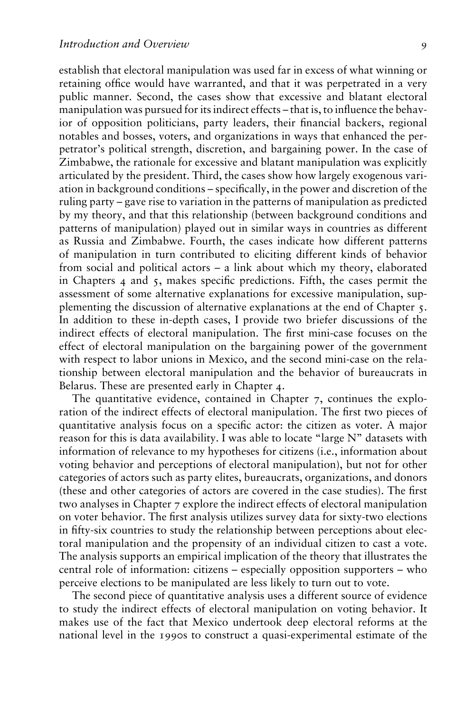establish that electoral manipulation was used far in excess of what winning or retaining office would have warranted, and that it was perpetrated in a very public manner. Second, the cases show that excessive and blatant electoral manipulation was pursued for its indirect effects – that is, to influence the behavior of opposition politicians, party leaders, their financial backers, regional notables and bosses, voters, and organizations in ways that enhanced the perpetrator's political strength, discretion, and bargaining power. In the case of Zimbabwe, the rationale for excessive and blatant manipulation was explicitly articulated by the president. Third, the cases show how largely exogenous variation in background conditions – specifically, in the power and discretion of the ruling party – gave rise to variation in the patterns of manipulation as predicted by my theory, and that this relationship (between background conditions and patterns of manipulation) played out in similar ways in countries as different as Russia and Zimbabwe. Fourth, the cases indicate how different patterns of manipulation in turn contributed to eliciting different kinds of behavior from social and political actors – a link about which my theory, elaborated in Chapters 4 and 5, makes specific predictions. Fifth, the cases permit the assessment of some alternative explanations for excessive manipulation, supplementing the discussion of alternative explanations at the end of Chapter 5. In addition to these in-depth cases, I provide two briefer discussions of the indirect effects of electoral manipulation. The first mini-case focuses on the effect of electoral manipulation on the bargaining power of the government with respect to labor unions in Mexico, and the second mini-case on the relationship between electoral manipulation and the behavior of bureaucrats in Belarus. These are presented early in Chapter 4.

The quantitative evidence, contained in Chapter 7, continues the exploration of the indirect effects of electoral manipulation. The first two pieces of quantitative analysis focus on a specific actor: the citizen as voter. A major reason for this is data availability. I was able to locate "large N" datasets with information of relevance to my hypotheses for citizens (i.e., information about voting behavior and perceptions of electoral manipulation), but not for other categories of actors such as party elites, bureaucrats, organizations, and donors (these and other categories of actors are covered in the case studies). The first two analyses in Chapter 7 explore the indirect effects of electoral manipulation on voter behavior. The first analysis utilizes survey data for sixty-two elections in fifty-six countries to study the relationship between perceptions about electoral manipulation and the propensity of an individual citizen to cast a vote. The analysis supports an empirical implication of the theory that illustrates the central role of information: citizens – especially opposition supporters – who perceive elections to be manipulated are less likely to turn out to vote.

The second piece of quantitative analysis uses a different source of evidence to study the indirect effects of electoral manipulation on voting behavior. It makes use of the fact that Mexico undertook deep electoral reforms at the national level in the 1990s to construct a quasi-experimental estimate of the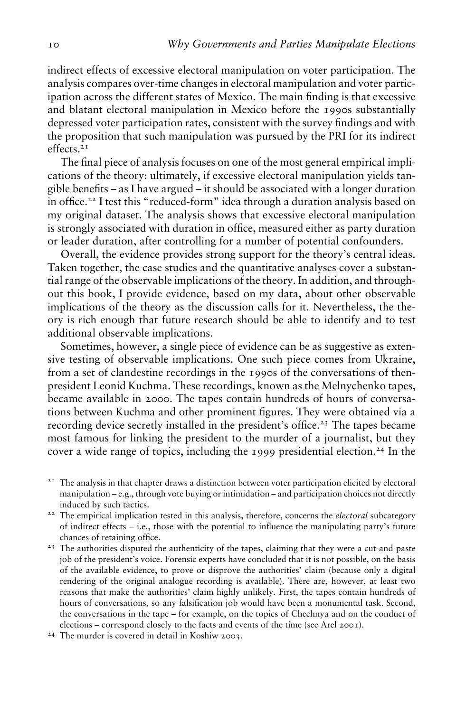indirect effects of excessive electoral manipulation on voter participation. The analysis compares over-time changes in electoral manipulation and voter participation across the different states of Mexico. The main finding is that excessive and blatant electoral manipulation in Mexico before the 1990s substantially depressed voter participation rates, consistent with the survey findings and with the proposition that such manipulation was pursued by the PRI for its indirect effects.<sup>21</sup>

The final piece of analysis focuses on one of the most general empirical implications of the theory: ultimately, if excessive electoral manipulation yields tangible benefits – as I have argued – it should be associated with a longer duration in office.<sup>22</sup> I test this "reduced-form" idea through a duration analysis based on my original dataset. The analysis shows that excessive electoral manipulation is strongly associated with duration in office, measured either as party duration or leader duration, after controlling for a number of potential confounders.

Overall, the evidence provides strong support for the theory's central ideas. Taken together, the case studies and the quantitative analyses cover a substantial range of the observable implications of the theory. In addition, and throughout this book, I provide evidence, based on my data, about other observable implications of the theory as the discussion calls for it. Nevertheless, the theory is rich enough that future research should be able to identify and to test additional observable implications.

Sometimes, however, a single piece of evidence can be as suggestive as extensive testing of observable implications. One such piece comes from Ukraine, from a set of clandestine recordings in the 1990s of the conversations of thenpresident Leonid Kuchma. These recordings, known as the Melnychenko tapes, became available in 2000. The tapes contain hundreds of hours of conversations between Kuchma and other prominent figures. They were obtained via a recording device secretly installed in the president's office.<sup>23</sup> The tapes became most famous for linking the president to the murder of a journalist, but they cover a wide range of topics, including the 1999 presidential election.<sup>24</sup> In the

- <sup>21</sup> The analysis in that chapter draws a distinction between voter participation elicited by electoral manipulation – e.g., through vote buying or intimidation – and participation choices not directly induced by such tactics.
- <sup>22</sup> The empirical implication tested in this analysis, therefore, concerns the *electoral* subcategory of indirect effects – i.e., those with the potential to influence the manipulating party's future chances of retaining office.
- <sup>23</sup> The authorities disputed the authenticity of the tapes, claiming that they were a cut-and-paste job of the president's voice. Forensic experts have concluded that it is not possible, on the basis of the available evidence, to prove or disprove the authorities' claim (because only a digital rendering of the original analogue recording is available). There are, however, at least two reasons that make the authorities' claim highly unlikely. First, the tapes contain hundreds of hours of conversations, so any falsification job would have been a monumental task. Second, the conversations in the tape – for example, on the topics of Chechnya and on the conduct of elections – correspond closely to the facts and events of the time (see Arel 2001).
- <sup>24</sup> The murder is covered in detail in Koshiw 2003.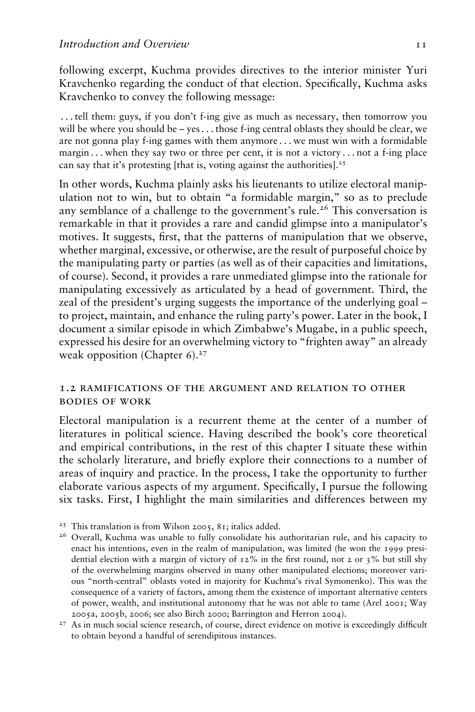following excerpt, Kuchma provides directives to the interior minister Yuri Kravchenko regarding the conduct of that election. Specifically, Kuchma asks Kravchenko to convey the following message:

. . . tell them: guys, if you don't f-ing give as much as necessary, then tomorrow you will be where you should be – yes... those f-ing central oblasts they should be clear, we are not gonna play f-ing games with them anymore . . . we must win with a formidable margin  $\ldots$  when they say two or three per cent, it is not a victory  $\ldots$  not a f-ing place can say that it's protesting [that is, voting against the authorities].<sup>25</sup>

In other words, Kuchma plainly asks his lieutenants to utilize electoral manipulation not to win, but to obtain "a formidable margin," so as to preclude any semblance of a challenge to the government's rule.<sup>26</sup> This conversation is remarkable in that it provides a rare and candid glimpse into a manipulator's motives. It suggests, first, that the patterns of manipulation that we observe, whether marginal, excessive, or otherwise, are the result of purposeful choice by the manipulating party or parties (as well as of their capacities and limitations, of course). Second, it provides a rare unmediated glimpse into the rationale for manipulating excessively as articulated by a head of government. Third, the zeal of the president's urging suggests the importance of the underlying goal – to project, maintain, and enhance the ruling party's power. Later in the book, I document a similar episode in which Zimbabwe's Mugabe, in a public speech, expressed his desire for an overwhelming victory to "frighten away" an already weak opposition (Chapter  $6$ ).<sup>27</sup>

## 1.2 ramifications of the argument and relation to other bodies of work

Electoral manipulation is a recurrent theme at the center of a number of literatures in political science. Having described the book's core theoretical and empirical contributions, in the rest of this chapter I situate these within the scholarly literature, and briefly explore their connections to a number of areas of inquiry and practice. In the process, I take the opportunity to further elaborate various aspects of my argument. Specifically, I pursue the following six tasks. First, I highlight the main similarities and differences between my

- <sup>25</sup> This translation is from Wilson 2005,  $81$ ; italics added.
- <sup>26</sup> Overall, Kuchma was unable to fully consolidate his authoritarian rule, and his capacity to enact his intentions, even in the realm of manipulation, was limited (he won the 1999 presidential election with a margin of victory of  $12\%$  in the first round, not 2 or 3% but still shy of the overwhelming margins observed in many other manipulated elections; moreover various "north-central" oblasts voted in majority for Kuchma's rival Symonenko). This was the consequence of a variety of factors, among them the existence of important alternative centers of power, wealth, and institutional autonomy that he was not able to tame (Arel 2001; Way 2005a, 2005b, 2006; see also Birch 2000; Barrington and Herron 2004).
- <sup>27</sup> As in much social science research, of course, direct evidence on motive is exceedingly difficult to obtain beyond a handful of serendipitous instances.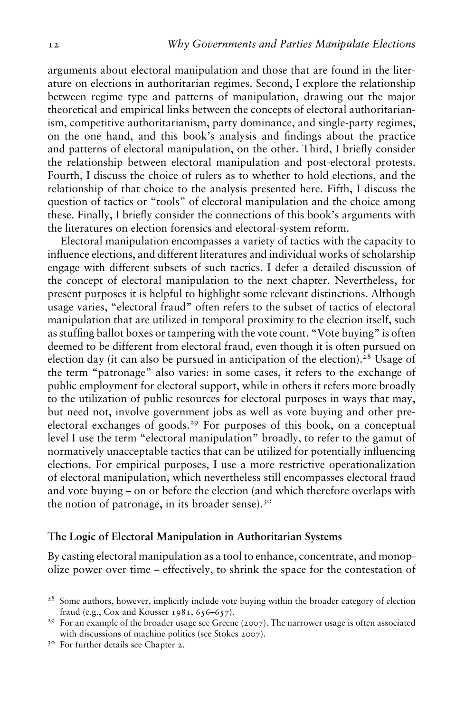arguments about electoral manipulation and those that are found in the literature on elections in authoritarian regimes. Second, I explore the relationship between regime type and patterns of manipulation, drawing out the major theoretical and empirical links between the concepts of electoral authoritarianism, competitive authoritarianism, party dominance, and single-party regimes, on the one hand, and this book's analysis and findings about the practice and patterns of electoral manipulation, on the other. Third, I briefly consider the relationship between electoral manipulation and post-electoral protests. Fourth, I discuss the choice of rulers as to whether to hold elections, and the relationship of that choice to the analysis presented here. Fifth, I discuss the question of tactics or "tools" of electoral manipulation and the choice among these. Finally, I briefly consider the connections of this book's arguments with the literatures on election forensics and electoral-system reform.

Electoral manipulation encompasses a variety of tactics with the capacity to influence elections, and different literatures and individual works of scholarship engage with different subsets of such tactics. I defer a detailed discussion of the concept of electoral manipulation to the next chapter. Nevertheless, for present purposes it is helpful to highlight some relevant distinctions. Although usage varies, "electoral fraud" often refers to the subset of tactics of electoral manipulation that are utilized in temporal proximity to the election itself, such as stuffing ballot boxes or tampering with the vote count. "Vote buying" is often deemed to be different from electoral fraud, even though it is often pursued on election day (it can also be pursued in anticipation of the election).<sup>28</sup> Usage of the term "patronage" also varies: in some cases, it refers to the exchange of public employment for electoral support, while in others it refers more broadly to the utilization of public resources for electoral purposes in ways that may, but need not, involve government jobs as well as vote buying and other preelectoral exchanges of goods.<sup>29</sup> For purposes of this book, on a conceptual level I use the term "electoral manipulation" broadly, to refer to the gamut of normatively unacceptable tactics that can be utilized for potentially influencing elections. For empirical purposes, I use a more restrictive operationalization of electoral manipulation, which nevertheless still encompasses electoral fraud and vote buying – on or before the election (and which therefore overlaps with the notion of patronage, in its broader sense).<sup>30</sup>

#### **The Logic of Electoral Manipulation in Authoritarian Systems**

By casting electoral manipulation as a tool to enhance, concentrate, and monopolize power over time – effectively, to shrink the space for the contestation of

<sup>&</sup>lt;sup>28</sup> Some authors, however, implicitly include vote buying within the broader category of election fraud (e.g., Cox and Kousser 1981, 656–657).

<sup>&</sup>lt;sup>29</sup> For an example of the broader usage see Greene (2007). The narrower usage is often associated with discussions of machine politics (see Stokes 2007).

<sup>&</sup>lt;sup>30</sup> For further details see Chapter 2.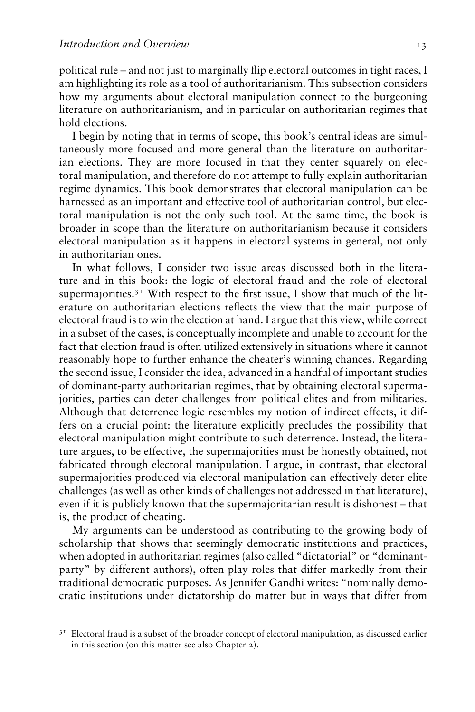political rule – and not just to marginally flip electoral outcomes in tight races, I am highlighting its role as a tool of authoritarianism. This subsection considers how my arguments about electoral manipulation connect to the burgeoning literature on authoritarianism, and in particular on authoritarian regimes that hold elections.

I begin by noting that in terms of scope, this book's central ideas are simultaneously more focused and more general than the literature on authoritarian elections. They are more focused in that they center squarely on electoral manipulation, and therefore do not attempt to fully explain authoritarian regime dynamics. This book demonstrates that electoral manipulation can be harnessed as an important and effective tool of authoritarian control, but electoral manipulation is not the only such tool. At the same time, the book is broader in scope than the literature on authoritarianism because it considers electoral manipulation as it happens in electoral systems in general, not only in authoritarian ones.

In what follows, I consider two issue areas discussed both in the literature and in this book: the logic of electoral fraud and the role of electoral supermajorities.<sup>31</sup> With respect to the first issue, I show that much of the literature on authoritarian elections reflects the view that the main purpose of electoral fraud is to win the election at hand. I argue that this view, while correct in a subset of the cases, is conceptually incomplete and unable to account for the fact that election fraud is often utilized extensively in situations where it cannot reasonably hope to further enhance the cheater's winning chances. Regarding the second issue, I consider the idea, advanced in a handful of important studies of dominant-party authoritarian regimes, that by obtaining electoral supermajorities, parties can deter challenges from political elites and from militaries. Although that deterrence logic resembles my notion of indirect effects, it differs on a crucial point: the literature explicitly precludes the possibility that electoral manipulation might contribute to such deterrence. Instead, the literature argues, to be effective, the supermajorities must be honestly obtained, not fabricated through electoral manipulation. I argue, in contrast, that electoral supermajorities produced via electoral manipulation can effectively deter elite challenges (as well as other kinds of challenges not addressed in that literature), even if it is publicly known that the supermajoritarian result is dishonest – that is, the product of cheating.

My arguments can be understood as contributing to the growing body of scholarship that shows that seemingly democratic institutions and practices, when adopted in authoritarian regimes (also called "dictatorial" or "dominantparty" by different authors), often play roles that differ markedly from their traditional democratic purposes. As Jennifer Gandhi writes: "nominally democratic institutions under dictatorship do matter but in ways that differ from

 $3<sup>1</sup>$  Electoral fraud is a subset of the broader concept of electoral manipulation, as discussed earlier in this section (on this matter see also Chapter 2).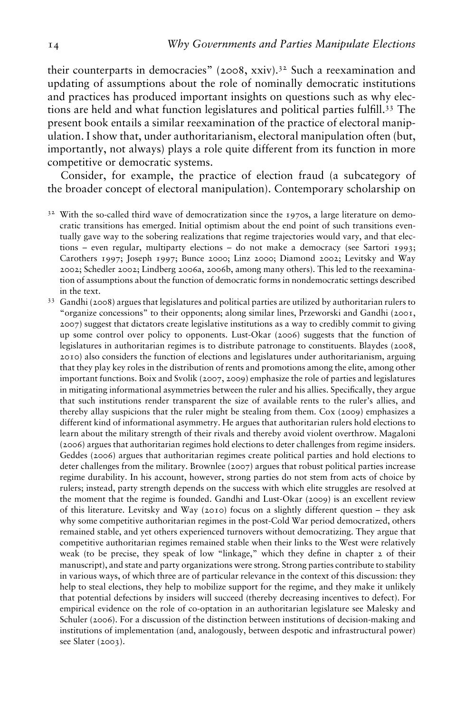their counterparts in democracies" (2008, xxiv).<sup>32</sup> Such a reexamination and updating of assumptions about the role of nominally democratic institutions and practices has produced important insights on questions such as why elections are held and what function legislatures and political parties fulfill.<sup>33</sup> The present book entails a similar reexamination of the practice of electoral manipulation. I show that, under authoritarianism, electoral manipulation often (but, importantly, not always) plays a role quite different from its function in more competitive or democratic systems.

Consider, for example, the practice of election fraud (a subcategory of the broader concept of electoral manipulation). Contemporary scholarship on

- $3<sup>2</sup>$  With the so-called third wave of democratization since the 1970s, a large literature on democratic transitions has emerged. Initial optimism about the end point of such transitions eventually gave way to the sobering realizations that regime trajectories would vary, and that elections – even regular, multiparty elections – do not make a democracy (see Sartori 1993; Carothers 1997; Joseph 1997; Bunce 2000; Linz 2000; Diamond 2002; Levitsky and Way 2002; Schedler 2002; Lindberg 2006a, 2006b, among many others). This led to the reexamination of assumptions about the function of democratic forms in nondemocratic settings described in the text.
- <sup>33</sup> Gandhi (2008) argues that legislatures and political parties are utilized by authoritarian rulers to "organize concessions" to their opponents; along similar lines, Przeworski and Gandhi (2001, 2007) suggest that dictators create legislative institutions as a way to credibly commit to giving up some control over policy to opponents. Lust-Okar (2006) suggests that the function of legislatures in authoritarian regimes is to distribute patronage to constituents. Blaydes (2008, 2010) also considers the function of elections and legislatures under authoritarianism, arguing that they play key roles in the distribution of rents and promotions among the elite, among other important functions. Boix and Svolik (2007, 2009) emphasize the role of parties and legislatures in mitigating informational asymmetries between the ruler and his allies. Specifically, they argue that such institutions render transparent the size of available rents to the ruler's allies, and thereby allay suspicions that the ruler might be stealing from them. Cox (2009) emphasizes a different kind of informational asymmetry. He argues that authoritarian rulers hold elections to learn about the military strength of their rivals and thereby avoid violent overthrow. Magaloni (2006) argues that authoritarian regimes hold elections to deter challenges from regime insiders. Geddes (2006) argues that authoritarian regimes create political parties and hold elections to deter challenges from the military. Brownlee (2007) argues that robust political parties increase regime durability. In his account, however, strong parties do not stem from acts of choice by rulers; instead, party strength depends on the success with which elite struggles are resolved at the moment that the regime is founded. Gandhi and Lust-Okar (2009) is an excellent review of this literature. Levitsky and Way (2010) focus on a slightly different question – they ask why some competitive authoritarian regimes in the post-Cold War period democratized, others remained stable, and yet others experienced turnovers without democratizing. They argue that competitive authoritarian regimes remained stable when their links to the West were relatively weak (to be precise, they speak of low "linkage," which they define in chapter 2 of their manuscript), and state and party organizations were strong. Strong parties contribute to stability in various ways, of which three are of particular relevance in the context of this discussion: they help to steal elections, they help to mobilize support for the regime, and they make it unlikely that potential defections by insiders will succeed (thereby decreasing incentives to defect). For empirical evidence on the role of co-optation in an authoritarian legislature see Malesky and Schuler (2006). For a discussion of the distinction between institutions of decision-making and institutions of implementation (and, analogously, between despotic and infrastructural power) see Slater (2003).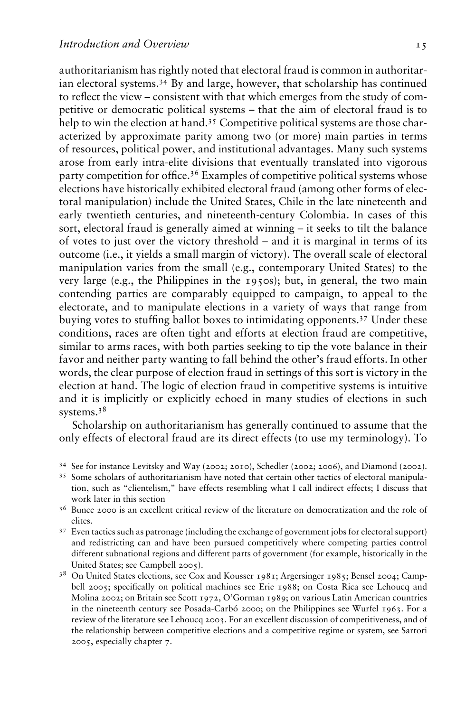authoritarianism has rightly noted that electoral fraud is common in authoritarian electoral systems.<sup>34</sup> By and large, however, that scholarship has continued to reflect the view – consistent with that which emerges from the study of competitive or democratic political systems – that the aim of electoral fraud is to help to win the election at hand.<sup>35</sup> Competitive political systems are those characterized by approximate parity among two (or more) main parties in terms of resources, political power, and institutional advantages. Many such systems arose from early intra-elite divisions that eventually translated into vigorous party competition for office.<sup>36</sup> Examples of competitive political systems whose elections have historically exhibited electoral fraud (among other forms of electoral manipulation) include the United States, Chile in the late nineteenth and early twentieth centuries, and nineteenth-century Colombia. In cases of this sort, electoral fraud is generally aimed at winning – it seeks to tilt the balance of votes to just over the victory threshold – and it is marginal in terms of its outcome (i.e., it yields a small margin of victory). The overall scale of electoral manipulation varies from the small (e.g., contemporary United States) to the very large (e.g., the Philippines in the 1950s); but, in general, the two main contending parties are comparably equipped to campaign, to appeal to the electorate, and to manipulate elections in a variety of ways that range from buying votes to stuffing ballot boxes to intimidating opponents.<sup>37</sup> Under these conditions, races are often tight and efforts at election fraud are competitive, similar to arms races, with both parties seeking to tip the vote balance in their favor and neither party wanting to fall behind the other's fraud efforts. In other words, the clear purpose of election fraud in settings of this sort is victory in the election at hand. The logic of election fraud in competitive systems is intuitive and it is implicitly or explicitly echoed in many studies of elections in such systems.<sup>38</sup>

Scholarship on authoritarianism has generally continued to assume that the only effects of electoral fraud are its direct effects (to use my terminology). To

- <sup>34</sup> See for instance Levitsky and Way (2002; 2010), Schedler (2002; 2006), and Diamond (2002).
- <sup>35</sup> Some scholars of authoritarianism have noted that certain other tactics of electoral manipulation, such as "clientelism," have effects resembling what I call indirect effects; I discuss that work later in this section
- <sup>36</sup> Bunce 2000 is an excellent critical review of the literature on democratization and the role of elites.
- <sup>37</sup> Even tactics such as patronage (including the exchange of government jobs for electoral support) and redistricting can and have been pursued competitively where competing parties control different subnational regions and different parts of government (for example, historically in the United States; see Campbell 2005).
- <sup>38</sup> On United States elections, see Cox and Kousser 1981; Argersinger 1985; Bensel 2004; Campbell 2005; specifically on political machines see Erie 1988; on Costa Rica see Lehoucq and Molina 2002; on Britain see Scott 1972, O'Gorman 1989; on various Latin American countries in the nineteenth century see Posada-Carbó 2000; on the Philippines see Wurfel 1963. For a review of the literature see Lehoucq 2003. For an excellent discussion of competitiveness, and of the relationship between competitive elections and a competitive regime or system, see Sartori 2005, especially chapter 7.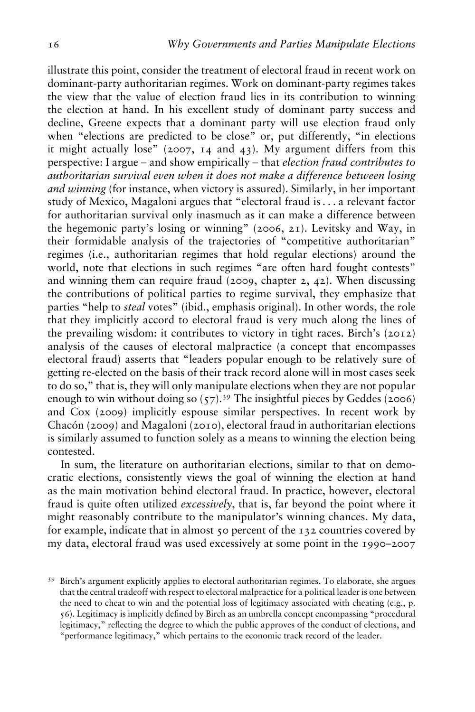illustrate this point, consider the treatment of electoral fraud in recent work on dominant-party authoritarian regimes. Work on dominant-party regimes takes the view that the value of election fraud lies in its contribution to winning the election at hand. In his excellent study of dominant party success and decline, Greene expects that a dominant party will use election fraud only when "elections are predicted to be close" or, put differently, "in elections it might actually lose" (2007, 14 and 43). My argument differs from this perspective: I argue – and show empirically – that *election fraud contributes to authoritarian survival even when it does not make a difference between losing and winning* (for instance, when victory is assured). Similarly, in her important study of Mexico, Magaloni argues that "electoral fraud is. . . a relevant factor for authoritarian survival only inasmuch as it can make a difference between the hegemonic party's losing or winning" (2006, 21). Levitsky and Way, in their formidable analysis of the trajectories of "competitive authoritarian" regimes (i.e., authoritarian regimes that hold regular elections) around the world, note that elections in such regimes "are often hard fought contests" and winning them can require fraud (2009, chapter 2, 42). When discussing the contributions of political parties to regime survival, they emphasize that parties "help to *steal* votes" (ibid., emphasis original). In other words, the role that they implicitly accord to electoral fraud is very much along the lines of the prevailing wisdom: it contributes to victory in tight races. Birch's (2012) analysis of the causes of electoral malpractice (a concept that encompasses electoral fraud) asserts that "leaders popular enough to be relatively sure of getting re-elected on the basis of their track record alone will in most cases seek to do so," that is, they will only manipulate elections when they are not popular enough to win without doing so  $(57)$ .<sup>39</sup> The insightful pieces by Geddes (2006) and Cox (2009) implicitly espouse similar perspectives. In recent work by Chacón (2009) and Magaloni (2010), electoral fraud in authoritarian elections is similarly assumed to function solely as a means to winning the election being contested.

In sum, the literature on authoritarian elections, similar to that on democratic elections, consistently views the goal of winning the election at hand as the main motivation behind electoral fraud. In practice, however, electoral fraud is quite often utilized *excessively*, that is, far beyond the point where it might reasonably contribute to the manipulator's winning chances. My data, for example, indicate that in almost 50 percent of the 132 countries covered by my data, electoral fraud was used excessively at some point in the 1990–2007

<sup>39</sup> Birch's argument explicitly applies to electoral authoritarian regimes. To elaborate, she argues that the central tradeoff with respect to electoral malpractice for a political leader is one between the need to cheat to win and the potential loss of legitimacy associated with cheating (e.g., p. 56). Legitimacy is implicitly defined by Birch as an umbrella concept encompassing "procedural legitimacy," reflecting the degree to which the public approves of the conduct of elections, and "performance legitimacy," which pertains to the economic track record of the leader.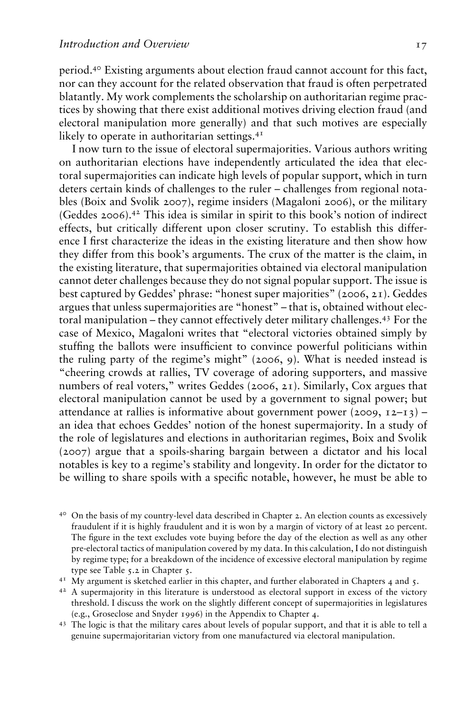period.<sup>40</sup> Existing arguments about election fraud cannot account for this fact, nor can they account for the related observation that fraud is often perpetrated blatantly. My work complements the scholarship on authoritarian regime practices by showing that there exist additional motives driving election fraud (and electoral manipulation more generally) and that such motives are especially likely to operate in authoritarian settings.<sup>41</sup>

I now turn to the issue of electoral supermajorities. Various authors writing on authoritarian elections have independently articulated the idea that electoral supermajorities can indicate high levels of popular support, which in turn deters certain kinds of challenges to the ruler – challenges from regional notables (Boix and Svolik 2007), regime insiders (Magaloni 2006), or the military (Geddes 2006).<sup>42</sup> This idea is similar in spirit to this book's notion of indirect effects, but critically different upon closer scrutiny. To establish this difference I first characterize the ideas in the existing literature and then show how they differ from this book's arguments. The crux of the matter is the claim, in the existing literature, that supermajorities obtained via electoral manipulation cannot deter challenges because they do not signal popular support. The issue is best captured by Geddes' phrase: "honest super majorities" (2006, 21). Geddes argues that unless supermajorities are "honest" – that is, obtained without electoral manipulation – they cannot effectively deter military challenges.<sup>43</sup> For the case of Mexico, Magaloni writes that "electoral victories obtained simply by stuffing the ballots were insufficient to convince powerful politicians within the ruling party of the regime's might" (2006, 9). What is needed instead is "cheering crowds at rallies, TV coverage of adoring supporters, and massive numbers of real voters," writes Geddes (2006, 21). Similarly, Cox argues that electoral manipulation cannot be used by a government to signal power; but attendance at rallies is informative about government power (2009,  $12-13$ ) – an idea that echoes Geddes' notion of the honest supermajority. In a study of the role of legislatures and elections in authoritarian regimes, Boix and Svolik (2007) argue that a spoils-sharing bargain between a dictator and his local notables is key to a regime's stability and longevity. In order for the dictator to be willing to share spoils with a specific notable, however, he must be able to

- <sup>40</sup> On the basis of my country-level data described in Chapter 2. An election counts as excessively fraudulent if it is highly fraudulent and it is won by a margin of victory of at least 20 percent. The figure in the text excludes vote buying before the day of the election as well as any other pre-electoral tactics of manipulation covered by my data. In this calculation, I do not distinguish by regime type; for a breakdown of the incidence of excessive electoral manipulation by regime type see Table 5.2 in Chapter 5.
- $4<sup>T</sup>$  My argument is sketched earlier in this chapter, and further elaborated in Chapters 4 and 5.
- <sup>42</sup> A supermajority in this literature is understood as electoral support in excess of the victory threshold. I discuss the work on the slightly different concept of supermajorities in legislatures (e.g., Groseclose and Snyder 1996) in the Appendix to Chapter 4.
- <sup>43</sup> The logic is that the military cares about levels of popular support, and that it is able to tell a genuine supermajoritarian victory from one manufactured via electoral manipulation.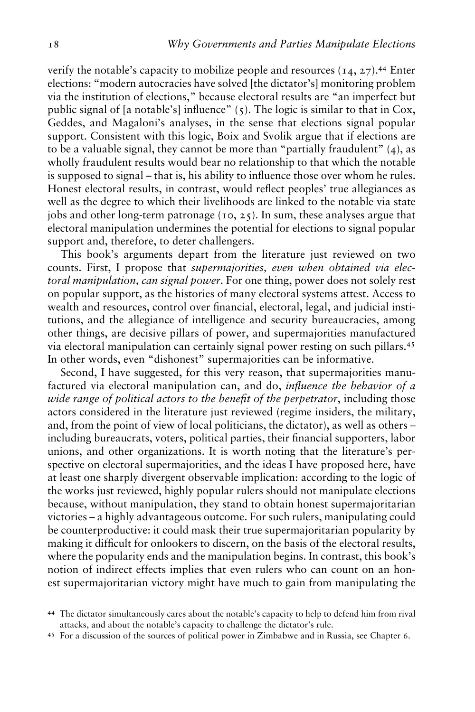verify the notable's capacity to mobilize people and resources  $(14, 27)$ .<sup>44</sup> Enter elections: "modern autocracies have solved [the dictator's] monitoring problem via the institution of elections," because electoral results are "an imperfect but public signal of [a notable's] influence" (5). The logic is similar to that in Cox, Geddes, and Magaloni's analyses, in the sense that elections signal popular support. Consistent with this logic, Boix and Svolik argue that if elections are to be a valuable signal, they cannot be more than "partially fraudulent" (4), as wholly fraudulent results would bear no relationship to that which the notable is supposed to signal – that is, his ability to influence those over whom he rules. Honest electoral results, in contrast, would reflect peoples' true allegiances as well as the degree to which their livelihoods are linked to the notable via state jobs and other long-term patronage  $(10, 25)$ . In sum, these analyses argue that electoral manipulation undermines the potential for elections to signal popular support and, therefore, to deter challengers.

This book's arguments depart from the literature just reviewed on two counts. First, I propose that *supermajorities, even when obtained via electoral manipulation, can signal power*. For one thing, power does not solely rest on popular support, as the histories of many electoral systems attest. Access to wealth and resources, control over financial, electoral, legal, and judicial institutions, and the allegiance of intelligence and security bureaucracies, among other things, are decisive pillars of power, and supermajorities manufactured via electoral manipulation can certainly signal power resting on such pillars.<sup>45</sup> In other words, even "dishonest" supermajorities can be informative.

Second, I have suggested, for this very reason, that supermajorities manufactured via electoral manipulation can, and do, *influence the behavior of a wide range of political actors to the benefit of the perpetrator*, including those actors considered in the literature just reviewed (regime insiders, the military, and, from the point of view of local politicians, the dictator), as well as others – including bureaucrats, voters, political parties, their financial supporters, labor unions, and other organizations. It is worth noting that the literature's perspective on electoral supermajorities, and the ideas I have proposed here, have at least one sharply divergent observable implication: according to the logic of the works just reviewed, highly popular rulers should not manipulate elections because, without manipulation, they stand to obtain honest supermajoritarian victories – a highly advantageous outcome. For such rulers, manipulating could be counterproductive: it could mask their true supermajoritarian popularity by making it difficult for onlookers to discern, on the basis of the electoral results, where the popularity ends and the manipulation begins. In contrast, this book's notion of indirect effects implies that even rulers who can count on an honest supermajoritarian victory might have much to gain from manipulating the

<sup>44</sup> The dictator simultaneously cares about the notable's capacity to help to defend him from rival attacks, and about the notable's capacity to challenge the dictator's rule.

<sup>45</sup> For a discussion of the sources of political power in Zimbabwe and in Russia, see Chapter 6.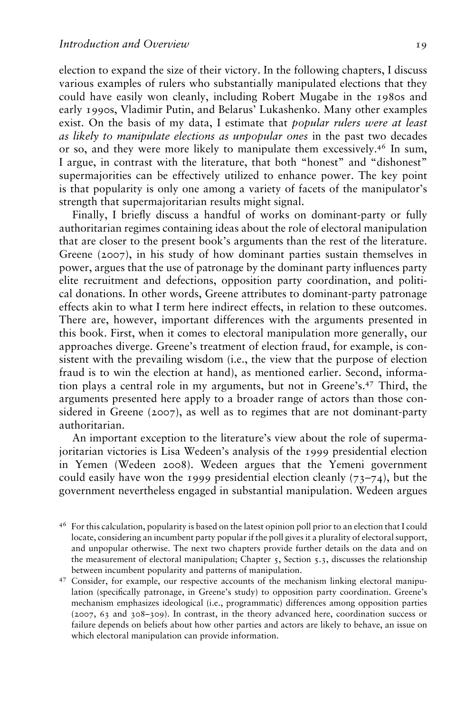election to expand the size of their victory. In the following chapters, I discuss various examples of rulers who substantially manipulated elections that they could have easily won cleanly, including Robert Mugabe in the 1980s and early 1990s, Vladimir Putin, and Belarus' Lukashenko. Many other examples exist. On the basis of my data, I estimate that *popular rulers were at least as likely to manipulate elections as unpopular ones* in the past two decades or so, and they were more likely to manipulate them excessively.<sup>46</sup> In sum, I argue, in contrast with the literature, that both "honest" and "dishonest" supermajorities can be effectively utilized to enhance power. The key point is that popularity is only one among a variety of facets of the manipulator's strength that supermajoritarian results might signal.

Finally, I briefly discuss a handful of works on dominant-party or fully authoritarian regimes containing ideas about the role of electoral manipulation that are closer to the present book's arguments than the rest of the literature. Greene (2007), in his study of how dominant parties sustain themselves in power, argues that the use of patronage by the dominant party influences party elite recruitment and defections, opposition party coordination, and political donations. In other words, Greene attributes to dominant-party patronage effects akin to what I term here indirect effects, in relation to these outcomes. There are, however, important differences with the arguments presented in this book. First, when it comes to electoral manipulation more generally, our approaches diverge. Greene's treatment of election fraud, for example, is consistent with the prevailing wisdom (i.e., the view that the purpose of election fraud is to win the election at hand), as mentioned earlier. Second, information plays a central role in my arguments, but not in Greene's.<sup>47</sup> Third, the arguments presented here apply to a broader range of actors than those considered in Greene (2007), as well as to regimes that are not dominant-party authoritarian.

An important exception to the literature's view about the role of supermajoritarian victories is Lisa Wedeen's analysis of the 1999 presidential election in Yemen (Wedeen 2008). Wedeen argues that the Yemeni government could easily have won the 1999 presidential election cleanly  $(73-74)$ , but the government nevertheless engaged in substantial manipulation. Wedeen argues

<sup>46</sup> For this calculation, popularity is based on the latest opinion poll prior to an election that I could locate, considering an incumbent party popular if the poll gives it a plurality of electoral support, and unpopular otherwise. The next two chapters provide further details on the data and on the measurement of electoral manipulation; Chapter  $\zeta$ , Section  $\zeta$ , 3, discusses the relationship between incumbent popularity and patterns of manipulation.

<sup>47</sup> Consider, for example, our respective accounts of the mechanism linking electoral manipulation (specifically patronage, in Greene's study) to opposition party coordination. Greene's mechanism emphasizes ideological (i.e., programmatic) differences among opposition parties (2007, 63 and 308–309). In contrast, in the theory advanced here, coordination success or failure depends on beliefs about how other parties and actors are likely to behave, an issue on which electoral manipulation can provide information.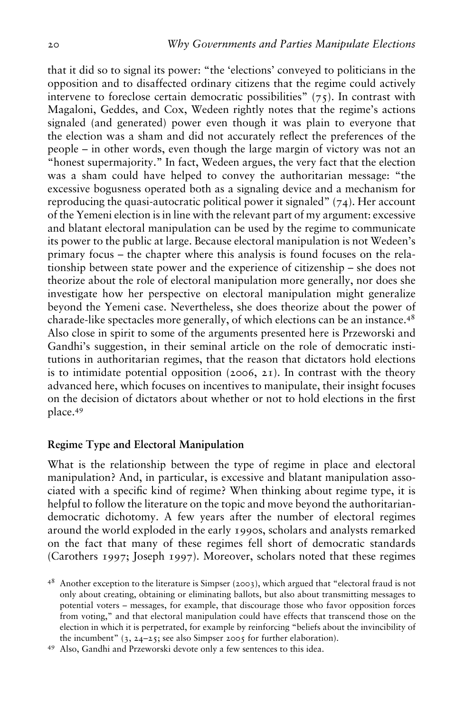that it did so to signal its power: "the 'elections' conveyed to politicians in the opposition and to disaffected ordinary citizens that the regime could actively intervene to foreclose certain democratic possibilities"  $(75)$ . In contrast with Magaloni, Geddes, and Cox, Wedeen rightly notes that the regime's actions signaled (and generated) power even though it was plain to everyone that the election was a sham and did not accurately reflect the preferences of the people – in other words, even though the large margin of victory was not an "honest supermajority." In fact, Wedeen argues, the very fact that the election was a sham could have helped to convey the authoritarian message: "the excessive bogusness operated both as a signaling device and a mechanism for reproducing the quasi-autocratic political power it signaled"  $(74)$ . Her account of the Yemeni election is in line with the relevant part of my argument: excessive and blatant electoral manipulation can be used by the regime to communicate its power to the public at large. Because electoral manipulation is not Wedeen's primary focus – the chapter where this analysis is found focuses on the relationship between state power and the experience of citizenship – she does not theorize about the role of electoral manipulation more generally, nor does she investigate how her perspective on electoral manipulation might generalize beyond the Yemeni case. Nevertheless, she does theorize about the power of charade-like spectacles more generally, of which elections can be an instance.<sup>48</sup> Also close in spirit to some of the arguments presented here is Przeworski and Gandhi's suggestion, in their seminal article on the role of democratic institutions in authoritarian regimes, that the reason that dictators hold elections is to intimidate potential opposition  $(2006, 21)$ . In contrast with the theory advanced here, which focuses on incentives to manipulate, their insight focuses on the decision of dictators about whether or not to hold elections in the first place.<sup>49</sup>

#### **Regime Type and Electoral Manipulation**

What is the relationship between the type of regime in place and electoral manipulation? And, in particular, is excessive and blatant manipulation associated with a specific kind of regime? When thinking about regime type, it is helpful to follow the literature on the topic and move beyond the authoritariandemocratic dichotomy. A few years after the number of electoral regimes around the world exploded in the early 1990s, scholars and analysts remarked on the fact that many of these regimes fell short of democratic standards (Carothers 1997; Joseph 1997). Moreover, scholars noted that these regimes

<sup>48</sup> Another exception to the literature is Simpser (2003), which argued that "electoral fraud is not only about creating, obtaining or eliminating ballots, but also about transmitting messages to potential voters – messages, for example, that discourage those who favor opposition forces from voting," and that electoral manipulation could have effects that transcend those on the election in which it is perpetrated, for example by reinforcing "beliefs about the invincibility of the incumbent"  $(3, 24-25)$ ; see also Simpser 2005 for further elaboration).

<sup>49</sup> Also, Gandhi and Przeworski devote only a few sentences to this idea.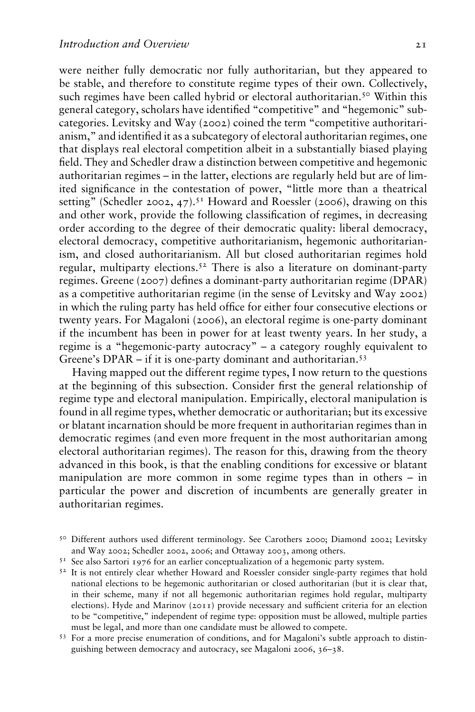were neither fully democratic nor fully authoritarian, but they appeared to be stable, and therefore to constitute regime types of their own. Collectively, such regimes have been called hybrid or electoral authoritarian.<sup>50</sup> Within this general category, scholars have identified "competitive" and "hegemonic" subcategories. Levitsky and Way (2002) coined the term "competitive authoritarianism," and identified it as a subcategory of electoral authoritarian regimes, one that displays real electoral competition albeit in a substantially biased playing field. They and Schedler draw a distinction between competitive and hegemonic authoritarian regimes – in the latter, elections are regularly held but are of limited significance in the contestation of power, "little more than a theatrical setting" (Schedler 2002, 47).<sup>51</sup> Howard and Roessler (2006), drawing on this and other work, provide the following classification of regimes, in decreasing order according to the degree of their democratic quality: liberal democracy, electoral democracy, competitive authoritarianism, hegemonic authoritarianism, and closed authoritarianism. All but closed authoritarian regimes hold regular, multiparty elections.<sup>52</sup> There is also a literature on dominant-party regimes. Greene (2007) defines a dominant-party authoritarian regime (DPAR) as a competitive authoritarian regime (in the sense of Levitsky and Way 2002) in which the ruling party has held office for either four consecutive elections or twenty years. For Magaloni (2006), an electoral regime is one-party dominant if the incumbent has been in power for at least twenty years. In her study, a regime is a "hegemonic-party autocracy" – a category roughly equivalent to Greene's DPAR – if it is one-party dominant and authoritarian.<sup>53</sup>

Having mapped out the different regime types, I now return to the questions at the beginning of this subsection. Consider first the general relationship of regime type and electoral manipulation. Empirically, electoral manipulation is found in all regime types, whether democratic or authoritarian; but its excessive or blatant incarnation should be more frequent in authoritarian regimes than in democratic regimes (and even more frequent in the most authoritarian among electoral authoritarian regimes). The reason for this, drawing from the theory advanced in this book, is that the enabling conditions for excessive or blatant manipulation are more common in some regime types than in others – in particular the power and discretion of incumbents are generally greater in authoritarian regimes.

<sup>53</sup> For a more precise enumeration of conditions, and for Magaloni's subtle approach to distinguishing between democracy and autocracy, see Magaloni 2006, 36–38.

<sup>50</sup> Different authors used different terminology. See Carothers 2000; Diamond 2002; Levitsky and Way 2002; Schedler 2002, 2006; and Ottaway 2003, among others.

<sup>&</sup>lt;sup>51</sup> See also Sartori 1976 for an earlier conceptualization of a hegemonic party system.

<sup>52</sup> It is not entirely clear whether Howard and Roessler consider single-party regimes that hold national elections to be hegemonic authoritarian or closed authoritarian (but it is clear that, in their scheme, many if not all hegemonic authoritarian regimes hold regular, multiparty elections). Hyde and Marinov (2011) provide necessary and sufficient criteria for an election to be "competitive," independent of regime type: opposition must be allowed, multiple parties must be legal, and more than one candidate must be allowed to compete.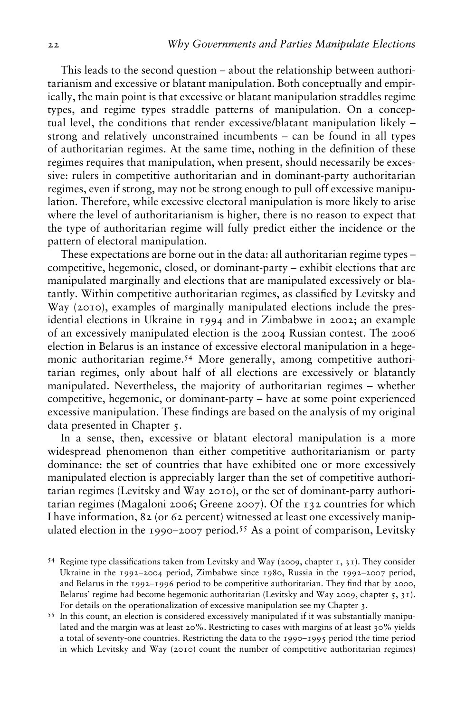This leads to the second question – about the relationship between authoritarianism and excessive or blatant manipulation. Both conceptually and empirically, the main point is that excessive or blatant manipulation straddles regime types, and regime types straddle patterns of manipulation. On a conceptual level, the conditions that render excessive/blatant manipulation likely – strong and relatively unconstrained incumbents – can be found in all types of authoritarian regimes. At the same time, nothing in the definition of these regimes requires that manipulation, when present, should necessarily be excessive: rulers in competitive authoritarian and in dominant-party authoritarian regimes, even if strong, may not be strong enough to pull off excessive manipulation. Therefore, while excessive electoral manipulation is more likely to arise where the level of authoritarianism is higher, there is no reason to expect that the type of authoritarian regime will fully predict either the incidence or the pattern of electoral manipulation.

These expectations are borne out in the data: all authoritarian regime types – competitive, hegemonic, closed, or dominant-party – exhibit elections that are manipulated marginally and elections that are manipulated excessively or blatantly. Within competitive authoritarian regimes, as classified by Levitsky and Way (2010), examples of marginally manipulated elections include the presidential elections in Ukraine in 1994 and in Zimbabwe in 2002; an example of an excessively manipulated election is the 2004 Russian contest. The 2006 election in Belarus is an instance of excessive electoral manipulation in a hegemonic authoritarian regime.<sup>54</sup> More generally, among competitive authoritarian regimes, only about half of all elections are excessively or blatantly manipulated. Nevertheless, the majority of authoritarian regimes – whether competitive, hegemonic, or dominant-party – have at some point experienced excessive manipulation. These findings are based on the analysis of my original data presented in Chapter 5.

In a sense, then, excessive or blatant electoral manipulation is a more widespread phenomenon than either competitive authoritarianism or party dominance: the set of countries that have exhibited one or more excessively manipulated election is appreciably larger than the set of competitive authoritarian regimes (Levitsky and Way 2010), or the set of dominant-party authoritarian regimes (Magaloni 2006; Greene 2007). Of the 132 countries for which I have information, 82 (or 62 percent) witnessed at least one excessively manipulated election in the 1990–2007 period.<sup>55</sup> As a point of comparison, Levitsky

 $54$  Regime type classifications taken from Levitsky and Way (2009, chapter 1, 31). They consider Ukraine in the 1992–2004 period, Zimbabwe since 1980, Russia in the 1992–2007 period, and Belarus in the 1992–1996 period to be competitive authoritarian. They find that by 2000, Belarus' regime had become hegemonic authoritarian (Levitsky and Way 2009, chapter  $\zeta$ , 31). For details on the operationalization of excessive manipulation see my Chapter 3.

<sup>55</sup> In this count, an election is considered excessively manipulated if it was substantially manipulated and the margin was at least 20%. Restricting to cases with margins of at least 30% yields a total of seventy-one countries. Restricting the data to the 1990–1995 period (the time period in which Levitsky and Way (2010) count the number of competitive authoritarian regimes)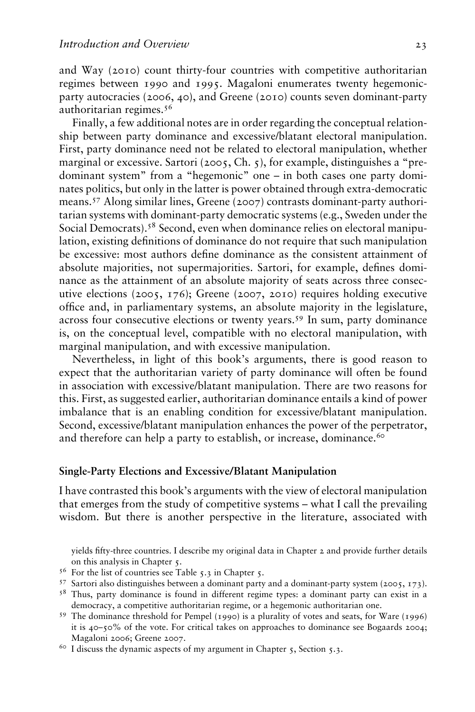and Way (2010) count thirty-four countries with competitive authoritarian regimes between 1990 and 1995. Magaloni enumerates twenty hegemonicparty autocracies (2006, 40), and Greene (2010) counts seven dominant-party authoritarian regimes.<sup>56</sup>

Finally, a few additional notes are in order regarding the conceptual relationship between party dominance and excessive/blatant electoral manipulation. First, party dominance need not be related to electoral manipulation, whether marginal or excessive. Sartori (2005, Ch. 5), for example, distinguishes a "predominant system" from a "hegemonic" one – in both cases one party dominates politics, but only in the latter is power obtained through extra-democratic means.<sup>57</sup> Along similar lines, Greene (2007) contrasts dominant-party authoritarian systems with dominant-party democratic systems (e.g., Sweden under the Social Democrats).<sup>58</sup> Second, even when dominance relies on electoral manipulation, existing definitions of dominance do not require that such manipulation be excessive: most authors define dominance as the consistent attainment of absolute majorities, not supermajorities. Sartori, for example, defines dominance as the attainment of an absolute majority of seats across three consecutive elections (2005, 176); Greene (2007, 2010) requires holding executive office and, in parliamentary systems, an absolute majority in the legislature, across four consecutive elections or twenty years.<sup>59</sup> In sum, party dominance is, on the conceptual level, compatible with no electoral manipulation, with marginal manipulation, and with excessive manipulation.

Nevertheless, in light of this book's arguments, there is good reason to expect that the authoritarian variety of party dominance will often be found in association with excessive/blatant manipulation. There are two reasons for this. First, as suggested earlier, authoritarian dominance entails a kind of power imbalance that is an enabling condition for excessive/blatant manipulation. Second, excessive/blatant manipulation enhances the power of the perpetrator, and therefore can help a party to establish, or increase, dominance.<sup>60</sup>

## **Single-Party Elections and Excessive/Blatant Manipulation**

I have contrasted this book's arguments with the view of electoral manipulation that emerges from the study of competitive systems – what I call the prevailing wisdom. But there is another perspective in the literature, associated with

yields fifty-three countries. I describe my original data in Chapter 2 and provide further details on this analysis in Chapter 5.

- <sup>56</sup> For the list of countries see Table 5.3 in Chapter 5.
- $57$  Sartori also distinguishes between a dominant party and a dominant-party system (2005, 173).
- <sup>58</sup> Thus, party dominance is found in different regime types: a dominant party can exist in a democracy, a competitive authoritarian regime, or a hegemonic authoritarian one.
- <sup>59</sup> The dominance threshold for Pempel (1990) is a plurality of votes and seats, for Ware (1996) it is 40–50% of the vote. For critical takes on approaches to dominance see Bogaards 2004; Magaloni 2006; Greene 2007.
- <sup>60</sup> I discuss the dynamic aspects of my argument in Chapter 5, Section 5.3.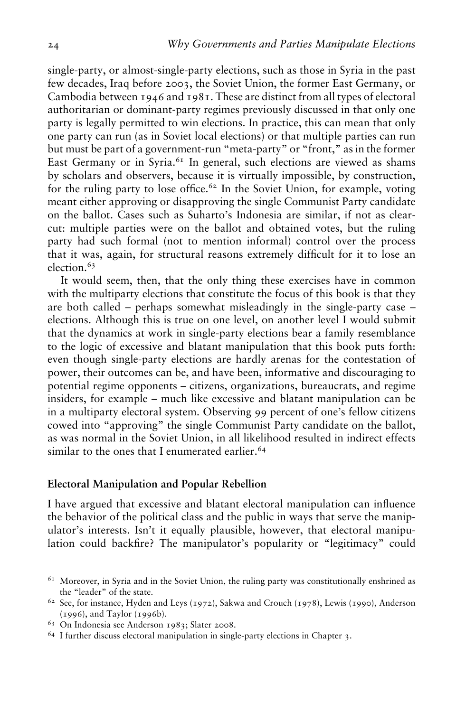single-party, or almost-single-party elections, such as those in Syria in the past few decades, Iraq before 2003, the Soviet Union, the former East Germany, or Cambodia between 1946 and 1981. These are distinct from all types of electoral authoritarian or dominant-party regimes previously discussed in that only one party is legally permitted to win elections. In practice, this can mean that only one party can run (as in Soviet local elections) or that multiple parties can run but must be part of a government-run "meta-party" or "front," as in the former East Germany or in Syria.<sup>61</sup> In general, such elections are viewed as shams by scholars and observers, because it is virtually impossible, by construction, for the ruling party to lose office.<sup>62</sup> In the Soviet Union, for example, voting meant either approving or disapproving the single Communist Party candidate on the ballot. Cases such as Suharto's Indonesia are similar, if not as clearcut: multiple parties were on the ballot and obtained votes, but the ruling party had such formal (not to mention informal) control over the process that it was, again, for structural reasons extremely difficult for it to lose an election.<sup>63</sup>

It would seem, then, that the only thing these exercises have in common with the multiparty elections that constitute the focus of this book is that they are both called – perhaps somewhat misleadingly in the single-party case – elections. Although this is true on one level, on another level I would submit that the dynamics at work in single-party elections bear a family resemblance to the logic of excessive and blatant manipulation that this book puts forth: even though single-party elections are hardly arenas for the contestation of power, their outcomes can be, and have been, informative and discouraging to potential regime opponents – citizens, organizations, bureaucrats, and regime insiders, for example – much like excessive and blatant manipulation can be in a multiparty electoral system. Observing 99 percent of one's fellow citizens cowed into "approving" the single Communist Party candidate on the ballot, as was normal in the Soviet Union, in all likelihood resulted in indirect effects similar to the ones that I enumerated earlier.<sup>64</sup>

#### **Electoral Manipulation and Popular Rebellion**

I have argued that excessive and blatant electoral manipulation can influence the behavior of the political class and the public in ways that serve the manipulator's interests. Isn't it equally plausible, however, that electoral manipulation could backfire? The manipulator's popularity or "legitimacy" could

 $61$  Moreover, in Syria and in the Soviet Union, the ruling party was constitutionally enshrined as the "leader" of the state.

 $62$  See, for instance, Hyden and Leys (1972), Sakwa and Crouch (1978), Lewis (1990), Anderson (1996), and Taylor (1996b).

<sup>63</sup> On Indonesia see Anderson 1983; Slater 2008.

<sup>64</sup> I further discuss electoral manipulation in single-party elections in Chapter 3.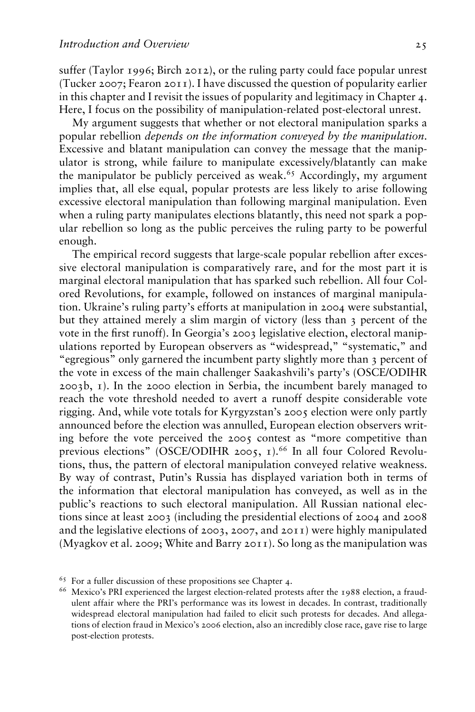suffer (Taylor 1996; Birch 2012), or the ruling party could face popular unrest (Tucker 2007; Fearon 2011). I have discussed the question of popularity earlier in this chapter and I revisit the issues of popularity and legitimacy in Chapter 4. Here, I focus on the possibility of manipulation-related post-electoral unrest.

My argument suggests that whether or not electoral manipulation sparks a popular rebellion *depends on the information conveyed by the manipulation*. Excessive and blatant manipulation can convey the message that the manipulator is strong, while failure to manipulate excessively/blatantly can make the manipulator be publicly perceived as weak.<sup>65</sup> Accordingly, my argument implies that, all else equal, popular protests are less likely to arise following excessive electoral manipulation than following marginal manipulation. Even when a ruling party manipulates elections blatantly, this need not spark a popular rebellion so long as the public perceives the ruling party to be powerful enough.

The empirical record suggests that large-scale popular rebellion after excessive electoral manipulation is comparatively rare, and for the most part it is marginal electoral manipulation that has sparked such rebellion. All four Colored Revolutions, for example, followed on instances of marginal manipulation. Ukraine's ruling party's efforts at manipulation in 2004 were substantial, but they attained merely a slim margin of victory (less than 3 percent of the vote in the first runoff). In Georgia's 2003 legislative election, electoral manipulations reported by European observers as "widespread," "systematic," and "egregious" only garnered the incumbent party slightly more than 3 percent of the vote in excess of the main challenger Saakashvili's party's (OSCE/ODIHR 2003b, 1). In the 2000 election in Serbia, the incumbent barely managed to reach the vote threshold needed to avert a runoff despite considerable vote rigging. And, while vote totals for Kyrgyzstan's 2005 election were only partly announced before the election was annulled, European election observers writing before the vote perceived the 2005 contest as "more competitive than previous elections" (OSCE/ODIHR 2005, 1).<sup>66</sup> In all four Colored Revolutions, thus, the pattern of electoral manipulation conveyed relative weakness. By way of contrast, Putin's Russia has displayed variation both in terms of the information that electoral manipulation has conveyed, as well as in the public's reactions to such electoral manipulation. All Russian national elections since at least 2003 (including the presidential elections of 2004 and 2008 and the legislative elections of 2003, 2007, and 2011) were highly manipulated (Myagkov et al. 2009; White and Barry 2011). So long as the manipulation was

 $65$  For a fuller discussion of these propositions see Chapter 4.

<sup>66</sup> Mexico's PRI experienced the largest election-related protests after the 1988 election, a fraudulent affair where the PRI's performance was its lowest in decades. In contrast, traditionally widespread electoral manipulation had failed to elicit such protests for decades. And allegations of election fraud in Mexico's 2006 election, also an incredibly close race, gave rise to large post-election protests.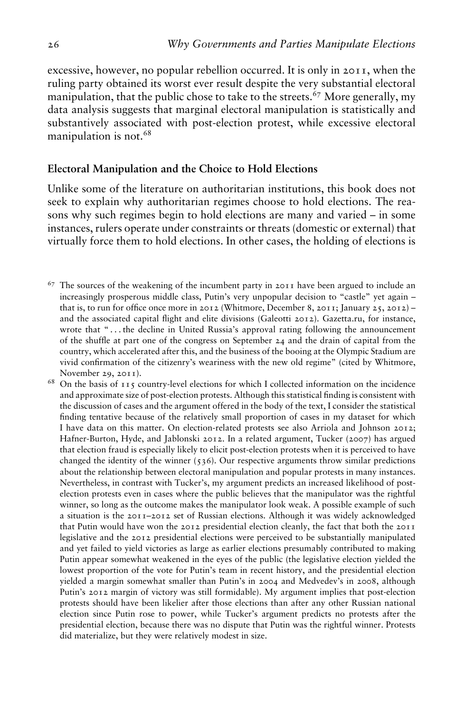excessive, however, no popular rebellion occurred. It is only in 2011, when the ruling party obtained its worst ever result despite the very substantial electoral manipulation, that the public chose to take to the streets.<sup>67</sup> More generally, my data analysis suggests that marginal electoral manipulation is statistically and substantively associated with post-election protest, while excessive electoral manipulation is not.<sup>68</sup>

#### **Electoral Manipulation and the Choice to Hold Elections**

Unlike some of the literature on authoritarian institutions, this book does not seek to explain why authoritarian regimes choose to hold elections. The reasons why such regimes begin to hold elections are many and varied – in some instances, rulers operate under constraints or threats (domestic or external) that virtually force them to hold elections. In other cases, the holding of elections is

- $67$  The sources of the weakening of the incumbent party in 2011 have been argued to include an increasingly prosperous middle class, Putin's very unpopular decision to "castle" yet again – that is, to run for office once more in 2012 (Whitmore, December 8, 2011; January 25, 2012) – and the associated capital flight and elite divisions (Galeotti 2012). Gazetta.ru, for instance, wrote that "... the decline in United Russia's approval rating following the announcement of the shuffle at part one of the congress on September 24 and the drain of capital from the country, which accelerated after this, and the business of the booing at the Olympic Stadium are vivid confirmation of the citizenry's weariness with the new old regime" (cited by Whitmore, November 29, 2011).
- <sup>68</sup> On the basis of 115 country-level elections for which I collected information on the incidence and approximate size of post-election protests. Although this statistical finding is consistent with the discussion of cases and the argument offered in the body of the text, I consider the statistical finding tentative because of the relatively small proportion of cases in my dataset for which I have data on this matter. On election-related protests see also Arriola and Johnson 2012; Hafner-Burton, Hyde, and Jablonski 2012. In a related argument, Tucker (2007) has argued that election fraud is especially likely to elicit post-election protests when it is perceived to have changed the identity of the winner (536). Our respective arguments throw similar predictions about the relationship between electoral manipulation and popular protests in many instances. Nevertheless, in contrast with Tucker's, my argument predicts an increased likelihood of postelection protests even in cases where the public believes that the manipulator was the rightful winner, so long as the outcome makes the manipulator look weak. A possible example of such a situation is the 2011–2012 set of Russian elections. Although it was widely acknowledged that Putin would have won the 2012 presidential election cleanly, the fact that both the 2011 legislative and the 2012 presidential elections were perceived to be substantially manipulated and yet failed to yield victories as large as earlier elections presumably contributed to making Putin appear somewhat weakened in the eyes of the public (the legislative election yielded the lowest proportion of the vote for Putin's team in recent history, and the presidential election yielded a margin somewhat smaller than Putin's in 2004 and Medvedev's in 2008, although Putin's 2012 margin of victory was still formidable). My argument implies that post-election protests should have been likelier after those elections than after any other Russian national election since Putin rose to power, while Tucker's argument predicts no protests after the presidential election, because there was no dispute that Putin was the rightful winner. Protests did materialize, but they were relatively modest in size.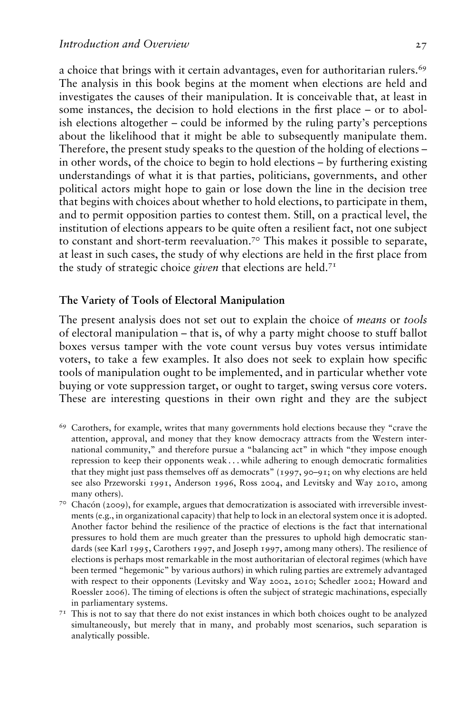a choice that brings with it certain advantages, even for authoritarian rulers.<sup>69</sup> The analysis in this book begins at the moment when elections are held and investigates the causes of their manipulation. It is conceivable that, at least in some instances, the decision to hold elections in the first place – or to abolish elections altogether – could be informed by the ruling party's perceptions about the likelihood that it might be able to subsequently manipulate them. Therefore, the present study speaks to the question of the holding of elections – in other words, of the choice to begin to hold elections – by furthering existing understandings of what it is that parties, politicians, governments, and other political actors might hope to gain or lose down the line in the decision tree that begins with choices about whether to hold elections, to participate in them, and to permit opposition parties to contest them. Still, on a practical level, the institution of elections appears to be quite often a resilient fact, not one subject to constant and short-term reevaluation.<sup>70</sup> This makes it possible to separate, at least in such cases, the study of why elections are held in the first place from the study of strategic choice *given* that elections are held.<sup>71</sup>

# **The Variety of Tools of Electoral Manipulation**

The present analysis does not set out to explain the choice of *means* or *tools* of electoral manipulation – that is, of why a party might choose to stuff ballot boxes versus tamper with the vote count versus buy votes versus intimidate voters, to take a few examples. It also does not seek to explain how specific tools of manipulation ought to be implemented, and in particular whether vote buying or vote suppression target, or ought to target, swing versus core voters. These are interesting questions in their own right and they are the subject

- $69$  Carothers, for example, writes that many governments hold elections because they "crave the attention, approval, and money that they know democracy attracts from the Western international community," and therefore pursue a "balancing act" in which "they impose enough repression to keep their opponents weak . . . while adhering to enough democratic formalities that they might just pass themselves off as democrats"  $(1997, 90-91; 00)$  why elections are held see also Przeworski 1991, Anderson 1996, Ross 2004, and Levitsky and Way 2010, among many others).
- $7°$  Chacón (2009), for example, argues that democratization is associated with irreversible investments (e.g., in organizational capacity) that help to lock in an electoral system once it is adopted. Another factor behind the resilience of the practice of elections is the fact that international pressures to hold them are much greater than the pressures to uphold high democratic standards (see Karl 1995, Carothers 1997, and Joseph 1997, among many others). The resilience of elections is perhaps most remarkable in the most authoritarian of electoral regimes (which have been termed "hegemonic" by various authors) in which ruling parties are extremely advantaged with respect to their opponents (Levitsky and Way 2002, 2010; Schedler 2002; Howard and Roessler 2006). The timing of elections is often the subject of strategic machinations, especially in parliamentary systems.
- $7<sup>1</sup>$  This is not to say that there do not exist instances in which both choices ought to be analyzed simultaneously, but merely that in many, and probably most scenarios, such separation is analytically possible.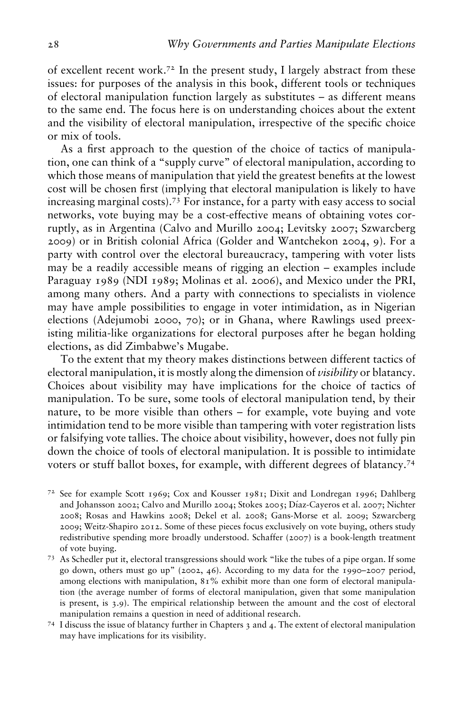of excellent recent work.<sup>72</sup> In the present study, I largely abstract from these issues: for purposes of the analysis in this book, different tools or techniques of electoral manipulation function largely as substitutes – as different means to the same end. The focus here is on understanding choices about the extent and the visibility of electoral manipulation, irrespective of the specific choice or mix of tools.

As a first approach to the question of the choice of tactics of manipulation, one can think of a "supply curve" of electoral manipulation, according to which those means of manipulation that yield the greatest benefits at the lowest cost will be chosen first (implying that electoral manipulation is likely to have increasing marginal costs).<sup>73</sup> For instance, for a party with easy access to social networks, vote buying may be a cost-effective means of obtaining votes corruptly, as in Argentina (Calvo and Murillo 2004; Levitsky 2007; Szwarcberg 2009) or in British colonial Africa (Golder and Wantchekon 2004, 9). For a party with control over the electoral bureaucracy, tampering with voter lists may be a readily accessible means of rigging an election – examples include Paraguay 1989 (NDI 1989; Molinas et al. 2006), and Mexico under the PRI, among many others. And a party with connections to specialists in violence may have ample possibilities to engage in voter intimidation, as in Nigerian elections (Adejumobi 2000, 70); or in Ghana, where Rawlings used preexisting militia-like organizations for electoral purposes after he began holding elections, as did Zimbabwe's Mugabe.

To the extent that my theory makes distinctions between different tactics of electoral manipulation, it is mostly along the dimension of *visibility* or blatancy. Choices about visibility may have implications for the choice of tactics of manipulation. To be sure, some tools of electoral manipulation tend, by their nature, to be more visible than others – for example, vote buying and vote intimidation tend to be more visible than tampering with voter registration lists or falsifying vote tallies. The choice about visibility, however, does not fully pin down the choice of tools of electoral manipulation. It is possible to intimidate voters or stuff ballot boxes, for example, with different degrees of blatancy.<sup>74</sup>

- <sup>72</sup> See for example Scott 1969; Cox and Kousser 1981; Dixit and Londregan 1996; Dahlberg and Johansson 2002; Calvo and Murillo 2004; Stokes 2005; Díaz-Cayeros et al. 2007; Nichter 2008; Rosas and Hawkins 2008; Dekel et al. 2008; Gans-Morse et al. 2009; Szwarcberg 2009; Weitz-Shapiro 2012. Some of these pieces focus exclusively on vote buying, others study redistributive spending more broadly understood. Schaffer (2007) is a book-length treatment of vote buying.
- <sup>73</sup> As Schedler put it, electoral transgressions should work "like the tubes of a pipe organ. If some go down, others must go up" (2002, 46). According to my data for the 1990–2007 period, among elections with manipulation, 81% exhibit more than one form of electoral manipulation (the average number of forms of electoral manipulation, given that some manipulation is present, is 3.9). The empirical relationship between the amount and the cost of electoral manipulation remains a question in need of additional research.
- <sup>74</sup> I discuss the issue of blatancy further in Chapters 3 and 4. The extent of electoral manipulation may have implications for its visibility.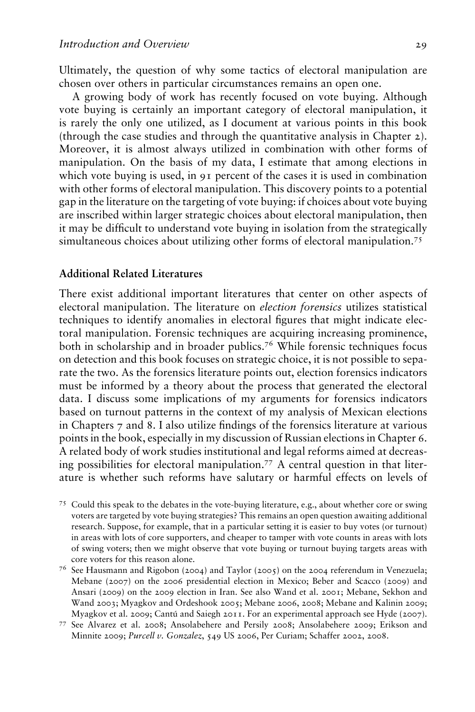Ultimately, the question of why some tactics of electoral manipulation are chosen over others in particular circumstances remains an open one.

A growing body of work has recently focused on vote buying. Although vote buying is certainly an important category of electoral manipulation, it is rarely the only one utilized, as I document at various points in this book (through the case studies and through the quantitative analysis in Chapter 2). Moreover, it is almost always utilized in combination with other forms of manipulation. On the basis of my data, I estimate that among elections in which vote buying is used, in 91 percent of the cases it is used in combination with other forms of electoral manipulation. This discovery points to a potential gap in the literature on the targeting of vote buying: if choices about vote buying are inscribed within larger strategic choices about electoral manipulation, then it may be difficult to understand vote buying in isolation from the strategically simultaneous choices about utilizing other forms of electoral manipulation.<sup>75</sup>

# **Additional Related Literatures**

There exist additional important literatures that center on other aspects of electoral manipulation. The literature on *election forensics* utilizes statistical techniques to identify anomalies in electoral figures that might indicate electoral manipulation. Forensic techniques are acquiring increasing prominence, both in scholarship and in broader publics.<sup>76</sup> While forensic techniques focus on detection and this book focuses on strategic choice, it is not possible to separate the two. As the forensics literature points out, election forensics indicators must be informed by a theory about the process that generated the electoral data. I discuss some implications of my arguments for forensics indicators based on turnout patterns in the context of my analysis of Mexican elections in Chapters 7 and 8. I also utilize findings of the forensics literature at various points in the book, especially in my discussion of Russian elections in Chapter 6. A related body of work studies institutional and legal reforms aimed at decreasing possibilities for electoral manipulation.<sup>77</sup> A central question in that literature is whether such reforms have salutary or harmful effects on levels of

- <sup>75</sup> Could this speak to the debates in the vote-buying literature, e.g., about whether core or swing voters are targeted by vote buying strategies? This remains an open question awaiting additional research. Suppose, for example, that in a particular setting it is easier to buy votes (or turnout) in areas with lots of core supporters, and cheaper to tamper with vote counts in areas with lots of swing voters; then we might observe that vote buying or turnout buying targets areas with core voters for this reason alone.
- <sup>76</sup> See Hausmann and Rigobon (2004) and Taylor (2005) on the 2004 referendum in Venezuela; Mebane (2007) on the 2006 presidential election in Mexico; Beber and Scacco (2009) and Ansari (2009) on the 2009 election in Iran. See also Wand et al. 2001; Mebane, Sekhon and Wand 2003; Myagkov and Ordeshook 2005; Mebane 2006, 2008; Mebane and Kalinin 2009; Myagkov et al. 2009; Cantú and Saiegh  $2011$ . For an experimental approach see Hyde (2007).
- <sup>77</sup> See Alvarez et al. 2008; Ansolabehere and Persily 2008; Ansolabehere 2009; Erikson and Minnite 2009; *Purcell v. Gonzalez*, 549 US 2006, Per Curiam; Schaffer 2002, 2008.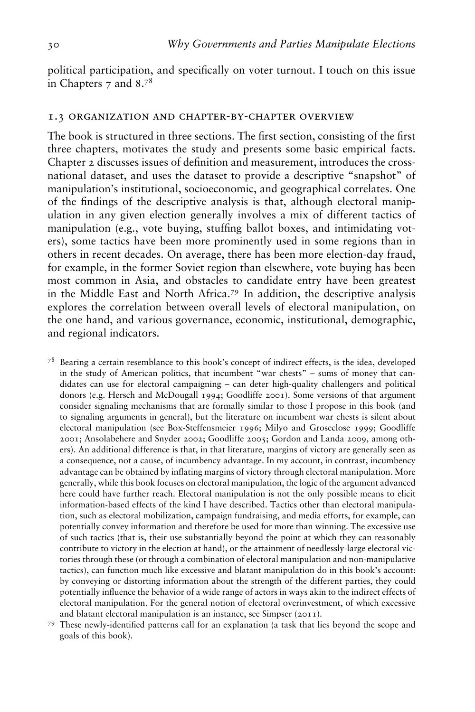political participation, and specifically on voter turnout. I touch on this issue in Chapters 7 and 8.78

#### 1.3 organization and chapter-by-chapter overview

The book is structured in three sections. The first section, consisting of the first three chapters, motivates the study and presents some basic empirical facts. Chapter 2 discusses issues of definition and measurement, introduces the crossnational dataset, and uses the dataset to provide a descriptive "snapshot" of manipulation's institutional, socioeconomic, and geographical correlates. One of the findings of the descriptive analysis is that, although electoral manipulation in any given election generally involves a mix of different tactics of manipulation (e.g., vote buying, stuffing ballot boxes, and intimidating voters), some tactics have been more prominently used in some regions than in others in recent decades. On average, there has been more election-day fraud, for example, in the former Soviet region than elsewhere, vote buying has been most common in Asia, and obstacles to candidate entry have been greatest in the Middle East and North Africa.<sup>79</sup> In addition, the descriptive analysis explores the correlation between overall levels of electoral manipulation, on the one hand, and various governance, economic, institutional, demographic, and regional indicators.

- <sup>78</sup> Bearing a certain resemblance to this book's concept of indirect effects, is the idea, developed in the study of American politics, that incumbent "war chests" – sums of money that candidates can use for electoral campaigning – can deter high-quality challengers and political donors (e.g. Hersch and McDougall 1994; Goodliffe 2001). Some versions of that argument consider signaling mechanisms that are formally similar to those I propose in this book (and to signaling arguments in general), but the literature on incumbent war chests is silent about electoral manipulation (see Box-Steffensmeier 1996; Milyo and Groseclose 1999; Goodliffe 2001; Ansolabehere and Snyder 2002; Goodliffe 2005; Gordon and Landa 2009, among others). An additional difference is that, in that literature, margins of victory are generally seen as a consequence, not a cause, of incumbency advantage. In my account, in contrast, incumbency advantage can be obtained by inflating margins of victory through electoral manipulation. More generally, while this book focuses on electoral manipulation, the logic of the argument advanced here could have further reach. Electoral manipulation is not the only possible means to elicit information-based effects of the kind I have described. Tactics other than electoral manipulation, such as electoral mobilization, campaign fundraising, and media efforts, for example, can potentially convey information and therefore be used for more than winning. The excessive use of such tactics (that is, their use substantially beyond the point at which they can reasonably contribute to victory in the election at hand), or the attainment of needlessly-large electoral victories through these (or through a combination of electoral manipulation and non-manipulative tactics), can function much like excessive and blatant manipulation do in this book's account: by conveying or distorting information about the strength of the different parties, they could potentially influence the behavior of a wide range of actors in ways akin to the indirect effects of electoral manipulation. For the general notion of electoral overinvestment, of which excessive and blatant electoral manipulation is an instance, see Simpser (2011).
- <sup>79</sup> These newly-identified patterns call for an explanation (a task that lies beyond the scope and goals of this book).